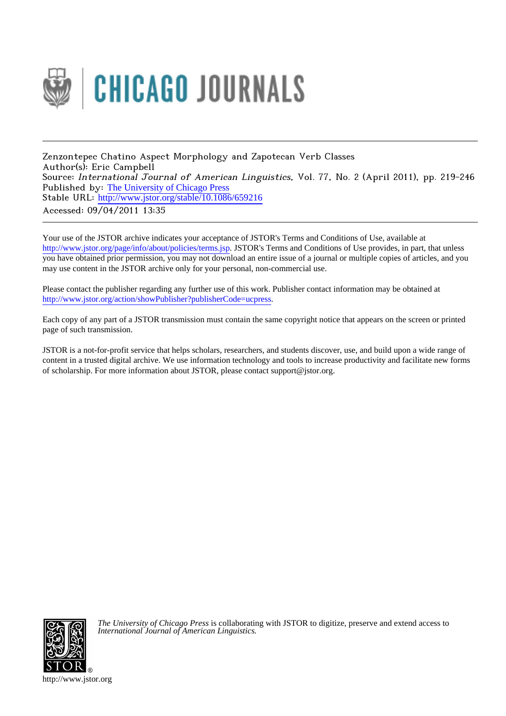

Zenzontepec Chatino Aspect Morphology and Zapotecan Verb Classes Author(s): Eric Campbell Source: International Journal of American Linguistics, Vol. 77, No. 2 (April 2011), pp. 219-246 Published by: [The University of Chicago Press](http://www.jstor.org/action/showPublisher?publisherCode=ucpress) Stable URL: http://www.jstor.org/stable/10.1086/659216 Accessed: 09/04/2011 13:35

Your use of the JSTOR archive indicates your acceptance of JSTOR's Terms and Conditions of Use, available at <http://www.jstor.org/page/info/about/policies/terms.jsp>. JSTOR's Terms and Conditions of Use provides, in part, that unless you have obtained prior permission, you may not download an entire issue of a journal or multiple copies of articles, and you may use content in the JSTOR archive only for your personal, non-commercial use.

Please contact the publisher regarding any further use of this work. Publisher contact information may be obtained at [http://www.jstor.org/action/showPublisher?publisherCode=ucpress.](http://www.jstor.org/action/showPublisher?publisherCode=ucpress)

Each copy of any part of a JSTOR transmission must contain the same copyright notice that appears on the screen or printed page of such transmission.

JSTOR is a not-for-profit service that helps scholars, researchers, and students discover, use, and build upon a wide range of content in a trusted digital archive. We use information technology and tools to increase productivity and facilitate new forms of scholarship. For more information about JSTOR, please contact support@jstor.org.



*The University of Chicago Press* is collaborating with JSTOR to digitize, preserve and extend access to *International Journal of American Linguistics.*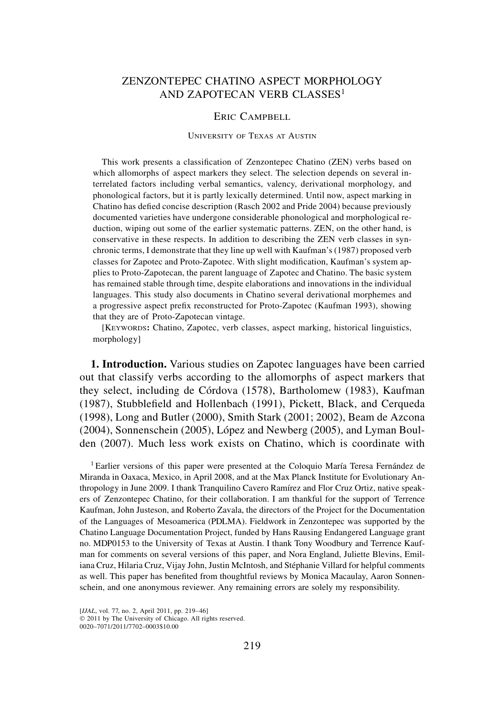## ZENZONTEPEC CHATINO ASPECT MORPHOLOGY AND ZAPOTECAN VERB CLASSES<sup>1</sup>

## Eric Campbell

## University of Texas at Austin

This work presents a classification of Zenzontepec Chatino (ZEN) verbs based on which allomorphs of aspect markers they select. The selection depends on several interrelated factors including verbal semantics, valency, derivational morphology, and phonological factors, but it is partly lexically determined. Until now, aspect marking in Chatino has defied concise description (Rasch 2002 and Pride 2004) because previously documented varieties have undergone considerable phonological and morphological reduction, wiping out some of the earlier systematic patterns. ZEN, on the other hand, is conservative in these respects. In addition to describing the ZEN verb classes in synchronic terms, I demonstrate that they line up well with Kaufman's (1987) proposed verb classes for Zapotec and Proto-Zapotec. With slight modification, Kaufman's system applies to Proto-Zapotecan, the parent language of Zapotec and Chatino. The basic system has remained stable through time, despite elaborations and innovations in the individual languages. This study also documents in Chatino several derivational morphemes and a progressive aspect prefix reconstructed for Proto-Zapotec (Kaufman 1993), showing that they are of Proto-Zapotecan vintage.

[Keywords**:** Chatino, Zapotec, verb classes, aspect marking, historical linguistics, morphology]

**1. Introduction.** Various studies on Zapotec languages have been carried out that classify verbs according to the allomorphs of aspect markers that they select, including de Córdova (1578), Bartholomew (1983), Kaufman (1987), Stubblefield and Hollenbach (1991), Pickett, Black, and Cerqueda (1998), Long and Butler (2000), Smith Stark (2001; 2002), Beam de Azcona (2004), Sonnenschein (2005), López and Newberg (2005), and Lyman Boulden (2007). Much less work exists on Chatino, which is coordinate with

1 Earlier versions of this paper were presented at the Coloquio María Teresa Fernández de Miranda in Oaxaca, Mexico, in April 2008, and at the Max Planck Institute for Evolutionary Anthropology in June 2009. I thank Tranquilino Cavero Ramírez and Flor Cruz Ortiz, native speakers of Zenzontepec Chatino, for their collaboration. I am thankful for the support of Terrence Kaufman, John Justeson, and Roberto Zavala, the directors of the Project for the Documentation of the Languages of Mesoamerica (PDLMA). Fieldwork in Zenzontepec was supported by the Chatino Language Documentation Project, funded by Hans Rausing Endangered Language grant no. MDP0153 to the University of Texas at Austin. I thank Tony Woodbury and Terrence Kaufman for comments on several versions of this paper, and Nora England, Juliette Blevins, Emiliana Cruz, Hilaria Cruz, Vijay John, Justin McIntosh, and Stéphanie Villard for helpful comments as well. This paper has benefited from thoughtful reviews by Monica Macaulay, Aaron Sonnenschein, and one anonymous reviewer. Any remaining errors are solely my responsibility.

 $© 2011$  by The University of Chicago. All rights reserved. 0020–7071/2011/7702–0003\$10.00

<sup>[</sup>*IJAL*, vol. 77, no. 2, April 2011, pp. 219-46]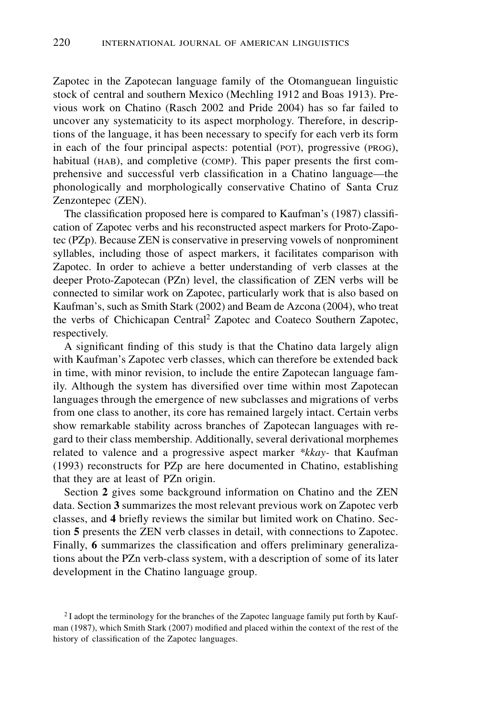Zapotec in the Zapotecan language family of the Otomanguean linguistic stock of central and southern Mexico (Mechling 1912 and Boas 1913). Previous work on Chatino (Rasch 2002 and Pride 2004) has so far failed to uncover any systematicity to its aspect morphology. Therefore, in descriptions of the language, it has been necessary to specify for each verb its form in each of the four principal aspects: potential (POT), progressive (PROG), habitual (HAB), and completive (COMP). This paper presents the first comprehensive and successful verb classification in a Chatino language—the phonologically and morphologically conservative Chatino of Santa Cruz Zenzontepec (ZEN).

The classification proposed here is compared to Kaufman's (1987) classification of Zapotec verbs and his reconstructed aspect markers for Proto-Zapotec (PZp). Because ZEN is conservative in preserving vowels of nonprominent syllables, including those of aspect markers, it facilitates comparison with Zapotec. In order to achieve a better understanding of verb classes at the deeper Proto-Zapotecan (PZn) level, the classification of ZEN verbs will be connected to similar work on Zapotec, particularly work that is also based on Kaufman's, such as Smith Stark (2002) and Beam de Azcona (2004), who treat the verbs of Chichicapan Central<sup>2</sup> Zapotec and Coateco Southern Zapotec, respectively.

A significant finding of this study is that the Chatino data largely align with Kaufman's Zapotec verb classes, which can therefore be extended back in time, with minor revision, to include the entire Zapotecan language family. Although the system has diversified over time within most Zapotecan languages through the emergence of new subclasses and migrations of verbs from one class to another, its core has remained largely intact. Certain verbs show remarkable stability across branches of Zapotecan languages with regard to their class membership. Additionally, several derivational morphemes related to valence and a progressive aspect marker *\*kkay-* that Kaufman (1993) reconstructs for PZp are here documented in Chatino, establishing that they are at least of PZn origin.

Section **2** gives some background information on Chatino and the ZEN data. Section **3** summarizes the most relevant previous work on Zapotec verb classes, and **4** briefly reviews the similar but limited work on Chatino. Section **5** presents the ZEN verb classes in detail, with connections to Zapotec. Finally, **6** summarizes the classification and offers preliminary generalizations about the PZn verb-class system, with a description of some of its later development in the Chatino language group.

<sup>&</sup>lt;sup>2</sup> I adopt the terminology for the branches of the Zapotec language family put forth by Kaufman (1987), which Smith Stark (2007) modified and placed within the context of the rest of the history of classification of the Zapotec languages.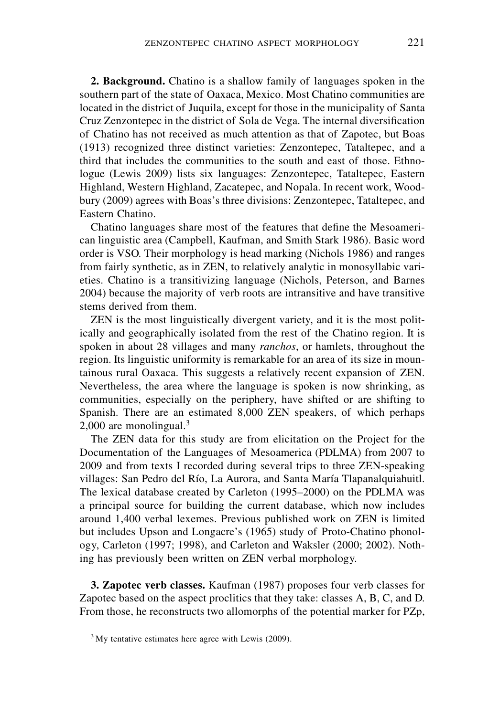**2. Background.** Chatino is a shallow family of languages spoken in the southern part of the state of Oaxaca, Mexico. Most Chatino communities are located in the district of Juquila, except for those in the municipality of Santa Cruz Zenzontepec in the district of Sola de Vega. The internal diversification of Chatino has not received as much attention as that of Zapotec, but Boas (1913) recognized three distinct varieties: Zenzontepec, Tataltepec, and a third that includes the communities to the south and east of those. Ethnologue (Lewis 2009) lists six languages: Zenzontepec, Tataltepec, Eastern Highland, Western Highland, Zacatepec, and Nopala. In recent work, Woodbury (2009) agrees with Boas's three divisions: Zenzontepec, Tataltepec, and Eastern Chatino.

Chatino languages share most of the features that define the Mesoamerican linguistic area (Campbell, Kaufman, and Smith Stark 1986). Basic word order is VSO. Their morphology is head marking (Nichols 1986) and ranges from fairly synthetic, as in ZEN, to relatively analytic in monosyllabic varieties. Chatino is a transitivizing language (Nichols, Peterson, and Barnes 2004) because the majority of verb roots are intransitive and have transitive stems derived from them.

ZEN is the most linguistically divergent variety, and it is the most politically and geographically isolated from the rest of the Chatino region. It is spoken in about 28 villages and many *ranchos*, or hamlets, throughout the region. Its linguistic uniformity is remarkable for an area of its size in mountainous rural Oaxaca. This suggests a relatively recent expansion of ZEN. Nevertheless, the area where the language is spoken is now shrinking, as communities, especially on the periphery, have shifted or are shifting to Spanish. There are an estimated 8,000 ZEN speakers, of which perhaps 2,000 are monolingual. $3$ 

The ZEN data for this study are from elicitation on the Project for the Documentation of the Languages of Mesoamerica (PDLMA) from 2007 to 2009 and from texts I recorded during several trips to three ZEN-speaking villages: San Pedro del Río, La Aurora, and Santa María Tlapanalquiahuitl. The lexical database created by Carleton (1995–2000) on the PDLMA was a principal source for building the current database, which now includes around 1,400 verbal lexemes. Previous published work on ZEN is limited but includes Upson and Longacre's (1965) study of Proto-Chatino phonology, Carleton (1997; 1998), and Carleton and Waksler (2000; 2002). Nothing has previously been written on ZEN verbal morphology.

**3. Zapotec verb classes.** Kaufman (1987) proposes four verb classes for Zapotec based on the aspect proclitics that they take: classes A, B, C, and D. From those, he reconstructs two allomorphs of the potential marker for PZp,

<sup>&</sup>lt;sup>3</sup>My tentative estimates here agree with Lewis (2009).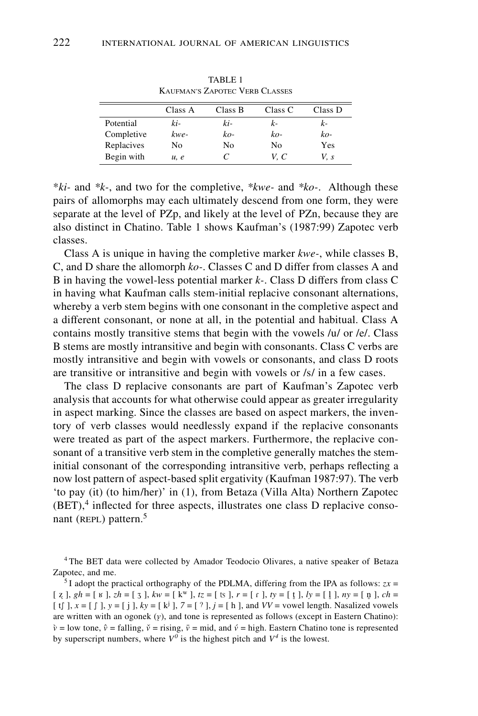|            | Class A | Class B | Class C | Class D |
|------------|---------|---------|---------|---------|
| Potential  | ki-     | ki-     | $k-$    | $k-$    |
| Completive | kwe-    | ko-     | $ko-$   | ko-     |
| Replacives | No      | No      | No      | Yes     |
| Begin with | u, e    | C       | V. C    | V. s    |

TABLE 1 Kaufman's Zapotec Verb Classes

\**ki-* and *\*k-*, and two for the completive, *\*kwe-* and *\*ko-*. Although these pairs of allomorphs may each ultimately descend from one form, they were separate at the level of PZp, and likely at the level of PZn, because they are also distinct in Chatino. Table 1 shows Kaufman's (1987:99) Zapotec verb classes.

Class A is unique in having the completive marker *kwe-*, while classes B, C, and D share the allomorph *ko-*. Classes C and D differ from classes A and B in having the vowel-less potential marker *k-*. Class D differs from class C in having what Kaufman calls stem-initial replacive consonant alternations, whereby a verb stem begins with one consonant in the completive aspect and a different consonant, or none at all, in the potential and habitual. Class A contains mostly transitive stems that begin with the vowels /u/ or /e/. Class B stems are mostly intransitive and begin with consonants. Class C verbs are mostly intransitive and begin with vowels or consonants, and class D roots are transitive or intransitive and begin with vowels or /s/ in a few cases.

The class D replacive consonants are part of Kaufman's Zapotec verb analysis that accounts for what otherwise could appear as greater irregularity in aspect marking. Since the classes are based on aspect markers, the inventory of verb classes would needlessly expand if the replacive consonants were treated as part of the aspect markers. Furthermore, the replacive consonant of a transitive verb stem in the completive generally matches the steminitial consonant of the corresponding intransitive verb, perhaps reflecting a now lost pattern of aspect-based split ergativity (Kaufman 1987:97). The verb 'to pay (it) (to him/her)' in (1), from Betaza (Villa Alta) Northern Zapotec  $(BET)$ ,<sup>4</sup> inflected for three aspects, illustrates one class D replacive consonant (REPL) pattern. $5$ 

4 The BET data were collected by Amador Teodocio Olivares, a native speaker of Betaza Zapotec, and me.

<sup>5</sup> I adopt the practical orthography of the PDLMA, differing from the IPA as follows:  $zx =$ [ z ], 4 *gh* = [ Â ], *zh* = [ J ], *kw* = [ kw ], *tz* = [ è ], *r* = [ \ ], *ty* = [ t ], ı *ly* = [ l ], ı *ny* = [ nı ], *ch* = [ tf ],  $x = [f]$ ,  $y = [j]$ ,  $ky = [k^j]$ ,  $7 = [?]$ ,  $j = [h]$ , and  $VV$  = vowel length. Nasalized vowels are written with an ogonek  $(y)$ , and tone is represented as follows (except in Eastern Chatino):  $\hat{v}$  = low tone,  $\hat{v}$  = falling,  $\check{v}$  = rising,  $\bar{v}$  = mid, and  $\acute{v}$  = high. Eastern Chatino tone is represented by superscript numbers, where  $V^0$  is the highest pitch and  $V^4$  is the lowest.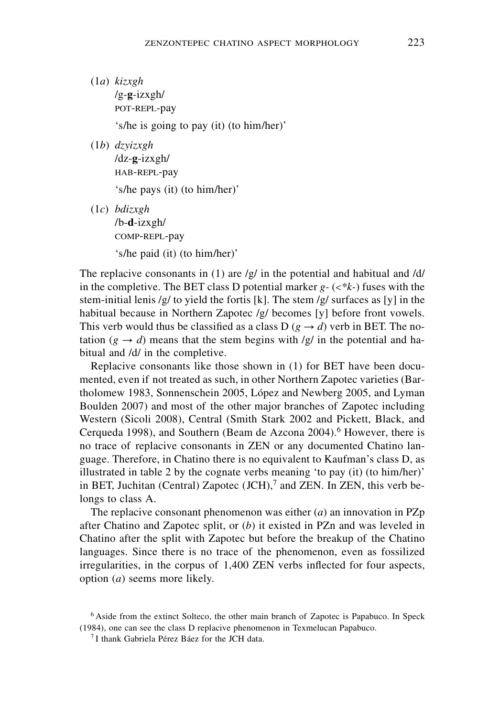- (1*a*) *kizxgh* /g-**g**-izxgh/ POT-REPL-pay 's/he is going to pay (it) (to him/her)'
- (1*b*) *dzyizxgh* /dz-**g**-izxgh/ HAB-REPL-pay 's/he pays (it) (to him/her)'
- (1*c*) *bdizxgh* /b-**d**-izxgh/ comp-repl-pay 's/he paid (it) (to him/her)'

The replacive consonants in (1) are  $/g/\text{ in the potential and habitual and } /d/$ in the completive. The BET class D potential marker *g-* (<*\*k-*) fuses with the stem-initial lenis /g/ to yield the fortis [k]. The stem /g/ surfaces as [y] in the habitual because in Northern Zapotec /g/ becomes [y] before front vowels. This verb would thus be classified as a class D ( $g \rightarrow d$ ) verb in BET. The notation ( $g \rightarrow d$ ) means that the stem begins with /g/ in the potential and habitual and /d/ in the completive.

Replacive consonants like those shown in (1) for BET have been documented, even if not treated as such, in other Northern Zapotec varieties (Bartholomew 1983, Sonnenschein 2005, López and Newberg 2005, and Lyman Boulden 2007) and most of the other major branches of Zapotec including Western (Sicoli 2008), Central (Smith Stark 2002 and Pickett, Black, and Cerqueda 1998), and Southern (Beam de Azcona 2004).<sup>6</sup> However, there is no trace of replacive consonants in ZEN or any documented Chatino language. Therefore, in Chatino there is no equivalent to Kaufman's class D, as illustrated in table 2 by the cognate verbs meaning 'to pay (it) (to him/her)' in BET, Juchitan (Central) Zapotec  $JCH$ , and ZEN. In ZEN, this verb belongs to class A.

The replacive consonant phenomenon was either (*a*) an innovation in PZp after Chatino and Zapotec split, or (*b*) it existed in PZn and was leveled in Chatino after the split with Zapotec but before the breakup of the Chatino languages. Since there is no trace of the phenomenon, even as fossilized irregularities, in the corpus of 1,400 ZEN verbs inflected for four aspects, option (*a*) seems more likely.

<sup>6</sup> Aside from the extinct Solteco, the other main branch of Zapotec is Papabuco. In Speck (1984), one can see the class D replacive phenomenon in Texmelucan Papabuco.

 $<sup>7</sup>$  I thank Gabriela Pérez Báez for the JCH data.</sup>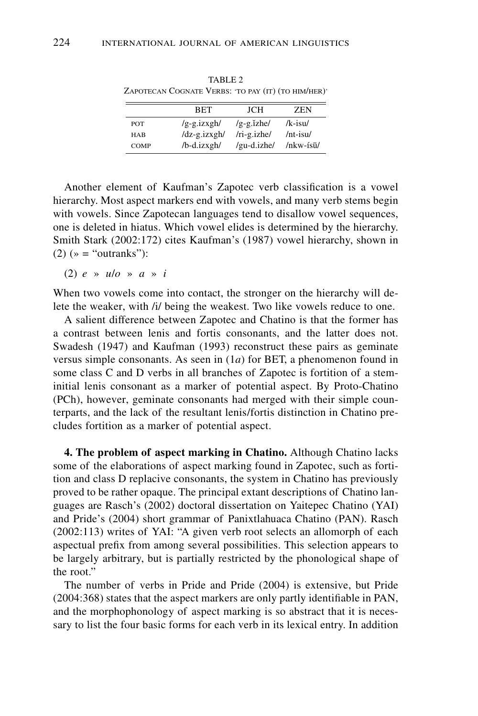|             | <b>BET</b>    | JCH              | <b>ZEN</b>      |
|-------------|---------------|------------------|-----------------|
| POT         | $/g-g.izxgh/$ | $/g-g$ . $izhe/$ | $/k$ -isu $/$   |
| <b>HAB</b>  | /dz-g.izxgh/  | $/ri-g.izhe/$    | $/nt$ -isu $/$  |
| <b>COMP</b> | /b-d.izxgh/   | /gu-d.izhe/      | $/nkw$ -ísū $/$ |

TARIE<sub>2</sub> ZAPOTECAN COGNATE VERBS: 'TO PAY (IT) (TO HIM/HER)'

Another element of Kaufman's Zapotec verb classification is a vowel hierarchy. Most aspect markers end with vowels, and many verb stems begin with vowels. Since Zapotecan languages tend to disallow vowel sequences, one is deleted in hiatus. Which vowel elides is determined by the hierarchy. Smith Stark (2002:172) cites Kaufman's (1987) vowel hierarchy, shown in  $(2)$  ( $\ast$  = "outranks"):

(2) *e* » *u*/*o* » *a* » *i*

When two vowels come into contact, the stronger on the hierarchy will delete the weaker, with /i/ being the weakest. Two like vowels reduce to one.

A salient difference between Zapotec and Chatino is that the former has a contrast between lenis and fortis consonants, and the latter does not. Swadesh (1947) and Kaufman (1993) reconstruct these pairs as geminate versus simple consonants. As seen in (1*a*) for BET, a phenomenon found in some class C and D verbs in all branches of Zapotec is fortition of a steminitial lenis consonant as a marker of potential aspect. By Proto-Chatino (PCh), however, geminate consonants had merged with their simple counterparts, and the lack of the resultant lenis/fortis distinction in Chatino precludes fortition as a marker of potential aspect.

**4. The problem of aspect marking in Chatino.** Although Chatino lacks some of the elaborations of aspect marking found in Zapotec, such as fortition and class D replacive consonants, the system in Chatino has previously proved to be rather opaque. The principal extant descriptions of Chatino languages are Rasch's (2002) doctoral dissertation on Yaitepec Chatino (YAI) and Pride's (2004) short grammar of Panixtlahuaca Chatino (PAN). Rasch (2002:113) writes of YAI: "A given verb root selects an allomorph of each aspectual prefix from among several possibilities. This selection appears to be largely arbitrary, but is partially restricted by the phonological shape of the root."

The number of verbs in Pride and Pride (2004) is extensive, but Pride (2004:368) states that the aspect markers are only partly identifiable in PAN, and the morphophonology of aspect marking is so abstract that it is necessary to list the four basic forms for each verb in its lexical entry. In addition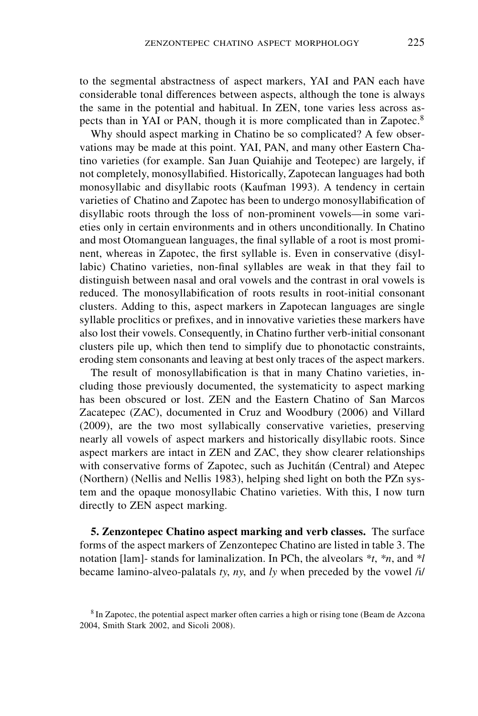to the segmental abstractness of aspect markers, YAI and PAN each have considerable tonal differences between aspects, although the tone is always the same in the potential and habitual. In ZEN, tone varies less across aspects than in YAI or PAN, though it is more complicated than in Zapotec.<sup>8</sup>

Why should aspect marking in Chatino be so complicated? A few observations may be made at this point. YAI, PAN, and many other Eastern Chatino varieties (for example. San Juan Quiahije and Teotepec) are largely, if not completely, monosyllabified. Historically, Zapotecan languages had both monosyllabic and disyllabic roots (Kaufman 1993). A tendency in certain varieties of Chatino and Zapotec has been to undergo monosyllabification of disyllabic roots through the loss of non-prominent vowels—in some varieties only in certain environments and in others unconditionally. In Chatino and most Otomanguean languages, the final syllable of a root is most prominent, whereas in Zapotec, the first syllable is. Even in conservative (disyllabic) Chatino varieties, non-final syllables are weak in that they fail to distinguish between nasal and oral vowels and the contrast in oral vowels is reduced. The monosyllabification of roots results in root-initial consonant clusters. Adding to this, aspect markers in Zapotecan languages are single syllable proclitics or prefixes, and in innovative varieties these markers have also lost their vowels. Consequently, in Chatino further verb-initial consonant clusters pile up, which then tend to simplify due to phonotactic constraints, eroding stem consonants and leaving at best only traces of the aspect markers.

The result of monosyllabification is that in many Chatino varieties, including those previously documented, the systematicity to aspect marking has been obscured or lost. ZEN and the Eastern Chatino of San Marcos Zacatepec (ZAC), documented in Cruz and Woodbury (2006) and Villard (2009), are the two most syllabically conservative varieties, preserving nearly all vowels of aspect markers and historically disyllabic roots. Since aspect markers are intact in ZEN and ZAC, they show clearer relationships with conservative forms of Zapotec, such as Juchitán (Central) and Atepec (Northern) (Nellis and Nellis 1983), helping shed light on both the PZn system and the opaque monosyllabic Chatino varieties. With this, I now turn directly to ZEN aspect marking.

**5. Zenzontepec Chatino aspect marking and verb classes.** The surface forms of the aspect markers of Zenzontepec Chatino are listed in table 3. The notation [lam]- stands for laminalization. In PCh, the alveolars *\*t*, *\*n*, and *\*l* became lamino-alveo-palatals *ty*, *ny*, and *ly* when preceded by the vowel /i/

<sup>8</sup> In Zapotec, the potential aspect marker often carries a high or rising tone (Beam de Azcona 2004, Smith Stark 2002, and Sicoli 2008).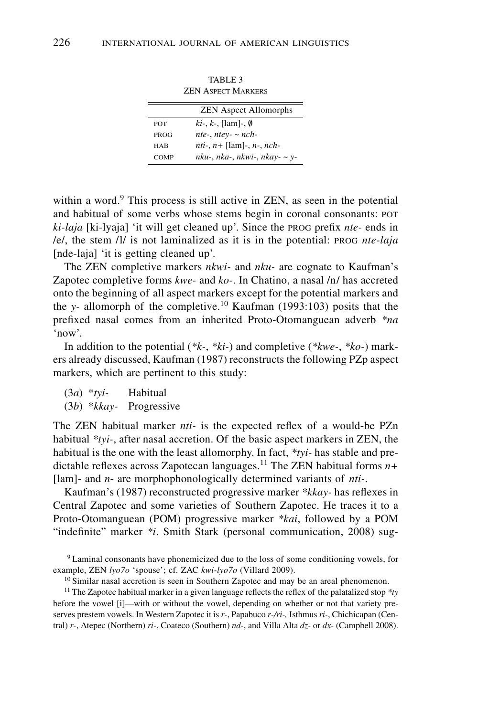|             | ZJ 2N ASPEL I IVIARNERS                   |
|-------------|-------------------------------------------|
|             | <b>ZEN</b> Aspect Allomorphs              |
| <b>POT</b>  | $ki$ -, $k$ -, [lam]-, $\emptyset$        |
| PROG        | nte-, ntey- $\sim$ nch-                   |
| HAB         | <i>nti-</i> , $n+$ [lam]-, $n$ -, $nch$ - |
| <b>COMP</b> | nku-, nka-, nkwi-, nkay- ~ y-             |

TABLE 3 ZEN Aspect Markers

within a word. $9$  This process is still active in ZEN, as seen in the potential and habitual of some verbs whose stems begin in coronal consonants: pot *ki-laja* [ki-lyaja] 'it will get cleaned up'. Since the prog prefix *nte-* ends in /e/, the stem /l/ is not laminalized as it is in the potential: prog *nte-laja* [nde-laja] 'it is getting cleaned up'.

The ZEN completive markers *nkwi-* and *nku-* are cognate to Kaufman's Zapotec completive forms *kwe-* and *ko-*. In Chatino, a nasal /n/ has accreted onto the beginning of all aspect markers except for the potential markers and the *y-* allomorph of the completive.10 Kaufman (1993:103) posits that the prefixed nasal comes from an inherited Proto-Otomanguean adverb *\*na* 'now'.

In addition to the potential (*\*k-*, *\*ki-*) and completive (*\*kwe-*, *\*ko-*) markers already discussed, Kaufman (1987) reconstructs the following PZp aspect markers, which are pertinent to this study:

(3*a*) \**tyi-* Habitual (3*b*) \**kkay-* Progressive

The ZEN habitual marker *nti-* is the expected reflex of a would-be PZn habitual *\*tyi-*, after nasal accretion. Of the basic aspect markers in ZEN, the habitual is the one with the least allomorphy. In fact, *\*tyi-* has stable and predictable reflexes across Zapotecan languages.<sup>11</sup> The ZEN habitual forms  $n+$ [lam]- and *n*- are morphophonologically determined variants of *nti-*.

Kaufman's (1987) reconstructed progressive marker *\*kkay-* has reflexes in Central Zapotec and some varieties of Southern Zapotec. He traces it to a Proto-Otomanguean (POM) progressive marker *\*kai*, followed by a POM "indefinite" marker *\*i*. Smith Stark (personal communication, 2008) sug-

11 The Zapotec habitual marker in a given language reflects the reflex of the palatalized stop *\*ty* before the vowel [i]—with or without the vowel, depending on whether or not that variety preserves prestem vowels. In Western Zapotec it is *r-*, Papabuco *r-/ri-,* Isthmus *ri-*, Chichicapan (Central) *r-*, Atepec (Northern) *ri-*, Coateco (Southern) *nd-*, and Villa Alta *dz-* or *dx-* (Campbell 2008).

<sup>9</sup> Laminal consonants have phonemicized due to the loss of some conditioning vowels, for example, ZEN *lyo7o* 'spouse'; cf. ZAC *kwi-lyo7o* (Villard 2009).

<sup>&</sup>lt;sup>10</sup> Similar nasal accretion is seen in Southern Zapotec and may be an areal phenomenon.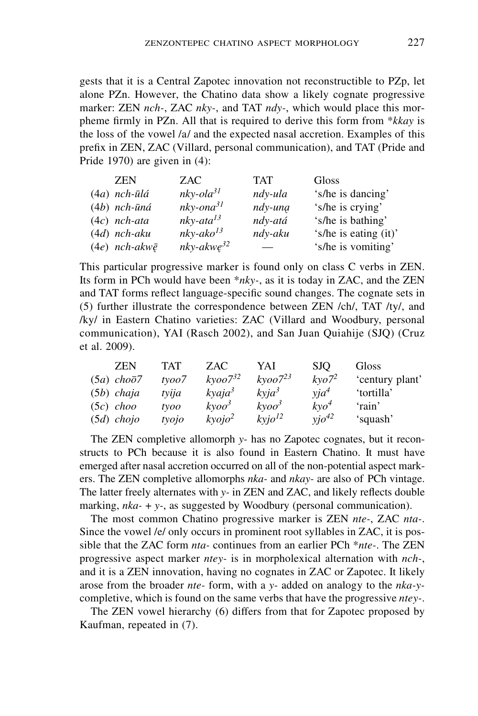gests that it is a Central Zapotec innovation not reconstructible to PZp, let alone PZn. However, the Chatino data show a likely cognate progressive marker: ZEN *nch-*, ZAC *nky-*, and TAT *ndy-*, which would place this morpheme firmly in PZn. All that is required to derive this form from \**kkay* is the loss of the vowel /a/ and the expected nasal accretion. Examples of this prefix in ZEN, ZAC (Villard, personal communication), and TAT (Pride and Pride 1970) are given in (4):

| <b>ZEN</b>               | ZAC                | <b>TAT</b> | Gloss                 |
|--------------------------|--------------------|------------|-----------------------|
| $(4a)$ nch-ūlá           | $nky$ -ola $31$    | ndy-ula    | 's/he is dancing'     |
| $(4b)$ nch-ūná           | $nky$ -on $a^{31}$ | ndy-una    | 's/he is crying'      |
| $(4c)$ nch-ata           | $nky$ -ata $l^3$   | ndy-atá    | 's/he is bathing'     |
| $(4d)$ nch-aku           | $nky-ako13$        | ndy-aku    | 's/he is eating (it)' |
| $(4e)$ nch-akw $\bar{e}$ | $nky-akwe^{32}$    |            | 's/he is vomiting'    |

This particular progressive marker is found only on class C verbs in ZEN. Its form in PCh would have been \**nky-*, as it is today in ZAC, and the ZEN and TAT forms reflect language-specific sound changes. The cognate sets in (5) further illustrate the correspondence between ZEN /ch/, TAT /ty/, and /ky/ in Eastern Chatino varieties: ZAC (Villard and Woodbury, personal communication), YAI (Rasch 2002), and San Juan Quiahije (SJQ) (Cruz et al. 2009).

| <b>ZEN</b>            | TAT   | ZAC.                  | YAI              | <b>SJO</b>   | Gloss           |
|-----------------------|-------|-----------------------|------------------|--------------|-----------------|
| $(5a)$ cho $\bar{o}7$ | tyoo7 | $k$ voo $7^{32}$      | $k$ voo $7^{23}$ | $k$ vo $7^2$ | 'century plant' |
| $(5b)$ chaja          | tvija | $k$ yaja <sup>3</sup> | $k$ yj $a^3$     | $via^4$      | 'tortilla'      |
| $(5c)$ choo           | tyoo  | $k \nu o o^3$         | $k \nu o o^3$    | $kvo^4$      | 'rain'          |
| $(5d)$ chojo          | tyojo | $k\nu oj o^2$         | $k$ yj $o^{12}$  | $yjo^{42}$   | 'squash'        |

The ZEN completive allomorph *y-* has no Zapotec cognates, but it reconstructs to PCh because it is also found in Eastern Chatino. It must have emerged after nasal accretion occurred on all of the non-potential aspect markers. The ZEN completive allomorphs *nka-* and *nkay-* are also of PCh vintage. The latter freely alternates with *y-* in ZEN and ZAC, and likely reflects double marking, *nka*- + *y*-, as suggested by Woodbury (personal communication).

The most common Chatino progressive marker is ZEN *nte-*, ZAC *nta-*. Since the vowel /e/ only occurs in prominent root syllables in ZAC, it is possible that the ZAC form *nta-* continues from an earlier PCh \**nte-*. The ZEN progressive aspect marker *ntey-* is in morpholexical alternation with *nch-*, and it is a ZEN innovation, having no cognates in ZAC or Zapotec. It likely arose from the broader *nte-* form, with a *y-* added on analogy to the *nka-y*completive, which is found on the same verbs that have the progressive *ntey-*.

The ZEN vowel hierarchy (6) differs from that for Zapotec proposed by Kaufman, repeated in (7).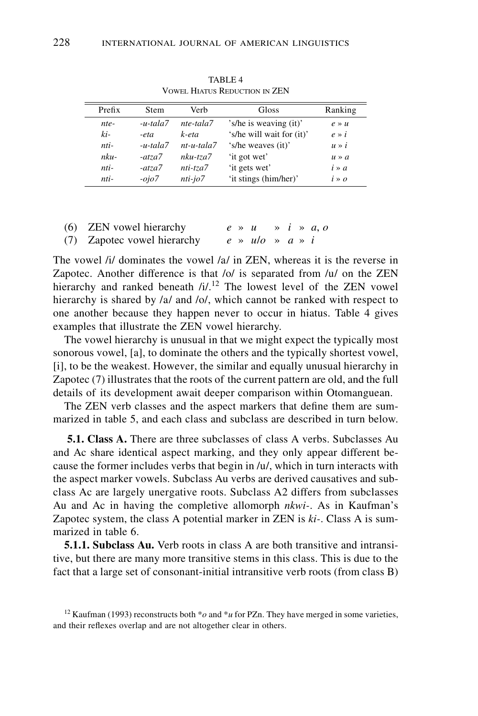| Prefix | <b>Stem</b> | Verh         | Gloss                     | Ranking           |
|--------|-------------|--------------|---------------------------|-------------------|
| nte-   | $-u$ -tala7 | nte-tala7    | 's/he is weaving (it)'    | $e \rightarrow u$ |
| ki-    | -eta        | k-eta        | 's/he will wait for (it)' | $e \times i$      |
| nti-   | $-u-tala7$  | $nt-u-tala7$ | 's/he weaves (it)'        | $u \gg i$         |
| $nku-$ | $-atza7$    | $nku-tza7$   | 'it got wet'              | $u \gg a$         |
| nti-   | $-atza7$    | nti-tza7     | 'it gets wet'             | $i \times a$      |
| nti-   | $-ojo7$     | $nti-io7$    | 'it stings (him/her)'     | $i \times o$      |

TABLE 4 Vowel Hiatus Reduction in ZEN

| (6) ZEN vowel hierarchy     |  | $e \rightarrow u \rightarrow i \rightarrow a, o$ |  |  |
|-----------------------------|--|--------------------------------------------------|--|--|
| (7) Zapotec vowel hierarchy |  | $e \rightarrow ulo \rightarrow a \rightarrow i$  |  |  |

The vowel /i/ dominates the vowel /a/ in ZEN, whereas it is the reverse in Zapotec. Another difference is that /o/ is separated from /u/ on the ZEN hierarchy and ranked beneath /i/.<sup>12</sup> The lowest level of the ZEN vowel hierarchy is shared by /a/ and /o/, which cannot be ranked with respect to one another because they happen never to occur in hiatus. Table 4 gives examples that illustrate the ZEN vowel hierarchy.

The vowel hierarchy is unusual in that we might expect the typically most sonorous vowel, [a], to dominate the others and the typically shortest vowel, [i], to be the weakest. However, the similar and equally unusual hierarchy in Zapotec (7) illustrates that the roots of the current pattern are old, and the full details of its development await deeper comparison within Otomanguean.

The ZEN verb classes and the aspect markers that define them are summarized in table 5, and each class and subclass are described in turn below.

 **5.1. Class A.** There are three subclasses of class A verbs. Subclasses Au and Ac share identical aspect marking, and they only appear different because the former includes verbs that begin in /u/, which in turn interacts with the aspect marker vowels. Subclass Au verbs are derived causatives and subclass Ac are largely unergative roots. Subclass A2 differs from subclasses Au and Ac in having the completive allomorph *nkwi-*. As in Kaufman's Zapotec system, the class A potential marker in ZEN is *ki-*. Class A is summarized in table 6.

**5.1.1. Subclass Au.** Verb roots in class A are both transitive and intransitive, but there are many more transitive stems in this class. This is due to the fact that a large set of consonant-initial intransitive verb roots (from class B)

<sup>&</sup>lt;sup>12</sup> Kaufman (1993) reconstructs both  $*$ *o* and  $*$ *u* for PZn. They have merged in some varieties, and their reflexes overlap and are not altogether clear in others.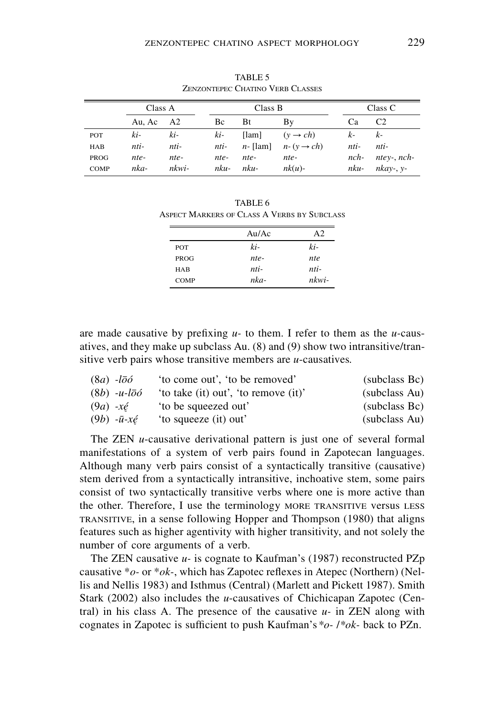|             |         |                |         |             | ELIZONIELE CHAIRD TEND CLASSES |         |                |  |
|-------------|---------|----------------|---------|-------------|--------------------------------|---------|----------------|--|
|             | Class A |                | Class B |             |                                | Class C |                |  |
|             | Au. Ac  | A <sub>2</sub> | Bc      | Bt          | Βy                             | Ca      | C <sub>2</sub> |  |
| POT         | ki-     | ki-            | ki-     | [lam]       | $(v \rightarrow ch)$           | $k-$    | $k-$           |  |
| <b>HAB</b>  | nti-    | nti-           | nti-    | $n$ - [lam] | $n-(y \rightarrow ch)$         | nti-    | nti-           |  |
| PROG        | nte-    | nte-           | nte-    | nte-        | nte-                           | $nch-$  | $ntev-, nch-$  |  |
| <b>COMP</b> | nka-    | nkwi-          | nku-    | nku-        | $nk(u)$ -                      | nku-    | $nkay-$ , $y-$ |  |

TABLE 5 ZENZONTEPEC CHATINO VERB CLASSES

| TABLE 6                                     |
|---------------------------------------------|
| ASPECT MARKERS OF CLASS A VERBS BY SUBCLASS |

|             | Au/Ac | A <sub>2</sub> |
|-------------|-------|----------------|
| <b>POT</b>  | ki-   | ki-            |
| PROG        | nte-  | <i>nte</i>     |
| <b>HAB</b>  | nti-  | nti-           |
| <b>COMP</b> | nka-  | nkwi-          |

are made causative by prefixing *u-* to them. I refer to them as the *u-*causatives, and they make up subclass Au. (8) and (9) show two intransitive/transitive verb pairs whose transitive members are *u*-causatives*.*

| $(8a)$ -loo                 | 'to come out', 'to be removed'       | (subclass Bc) |
|-----------------------------|--------------------------------------|---------------|
| $(8b)$ -u-loó               | 'to take (it) out', 'to remove (it)' | (subclass Au) |
| $(9a)$ -xé                  | to be squeezed out'                  | (subclass Bc) |
| $(9b) -\bar{u} -x\acute{e}$ | 'to squeeze (it) out'                | (subclass Au) |

The ZEN *u*-causative derivational pattern is just one of several formal manifestations of a system of verb pairs found in Zapotecan languages. Although many verb pairs consist of a syntactically transitive (causative) stem derived from a syntactically intransitive, inchoative stem, some pairs consist of two syntactically transitive verbs where one is more active than the other. Therefore, I use the terminology MORE TRANSITIVE versus LESS transitive, in a sense following Hopper and Thompson (1980) that aligns features such as higher agentivity with higher transitivity, and not solely the number of core arguments of a verb.

The ZEN causative *u-* is cognate to Kaufman's (1987) reconstructed PZp causative \**o-* or \**ok-*, which has Zapotec reflexes in Atepec (Northern) (Nellis and Nellis 1983) and Isthmus (Central) (Marlett and Pickett 1987). Smith Stark (2002) also includes the *u*-causatives of Chichicapan Zapotec (Central) in his class A. The presence of the causative *u-* in ZEN along with cognates in Zapotec is sufficient to push Kaufman's*\*o-* /*\*ok-* back to PZn.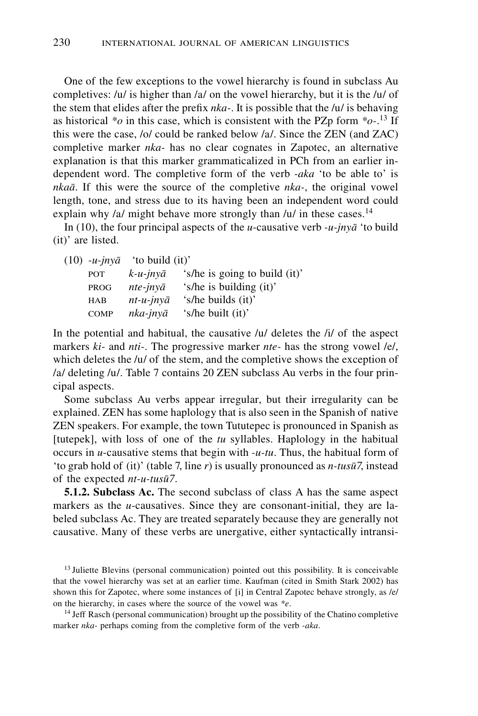One of the few exceptions to the vowel hierarchy is found in subclass Au completives: /u/ is higher than /a/ on the vowel hierarchy, but it is the /u/ of the stem that elides after the prefix *nka-*. It is possible that the /u/ is behaving as historical *\*o* in this case, which is consistent with the PZp form *\*o-*. 13 If this were the case, /o/ could be ranked below /a/. Since the ZEN (and ZAC) completive marker *nka-* has no clear cognates in Zapotec, an alternative explanation is that this marker grammaticalized in PCh from an earlier independent word. The completive form of the verb *-aka* 'to be able to' is *nkaa*. If this were the source of the completive *nka-*, the original vowel length, tone, and stress due to its having been an independent word could explain why /a/ might behave more strongly than /u/ in these cases.<sup>14</sup>

In (10), the four principal aspects of the *u*-causative verb *-u-jnya* 'to build (it)' are listed.

| (10) -u-jnyā | 'to build (it)'       |                               |
|--------------|-----------------------|-------------------------------|
| POT          | $k$ -u-jnyā           | 's/he is going to build (it)' |
| <b>PROG</b>  | $nte$ -jny $\bar{a}$  | 's/he is building (it)'       |
| HAB          | $nt-u$ - $inv\bar{a}$ | 's/he builds (it)'            |
| <b>COMP</b>  | nka-jnyā              | 's/he built (it)'             |

In the potential and habitual, the causative /u/ deletes the /i/ of the aspect markers *ki-* and *nti-*. The progressive marker *nte-* has the strong vowel /e/, which deletes the /u/ of the stem, and the completive shows the exception of /a/ deleting /u/. Table 7 contains 20 ZEN subclass Au verbs in the four principal aspects.

Some subclass Au verbs appear irregular, but their irregularity can be explained. ZEN has some haplology that is also seen in the Spanish of native ZEN speakers. For example, the town Tututepec is pronounced in Spanish as [tutepek], with loss of one of the *tu* syllables. Haplology in the habitual occurs in *u*-causative stems that begin with *-u-tu*. Thus, the habitual form of 'to grab hold of (it)' (table 7, line *r*) is usually pronounced as *n-tusu7*, instead of the expected *nt-u-tusu7*.

**5.1.2. Subclass Ac.** The second subclass of class A has the same aspect markers as the *u*-causatives. Since they are consonant-initial, they are labeled subclass Ac. They are treated separately because they are generally not causative. Many of these verbs are unergative, either syntactically intransi-

<sup>13</sup> Juliette Blevins (personal communication) pointed out this possibility. It is conceivable that the vowel hierarchy was set at an earlier time. Kaufman (cited in Smith Stark 2002) has shown this for Zapotec, where some instances of [i] in Central Zapotec behave strongly, as /e/ on the hierarchy, in cases where the source of the vowel was *\*e*.

<sup>14</sup> Jeff Rasch (personal communication) brought up the possibility of the Chatino completive marker *nka-* perhaps coming from the completive form of the verb *-aka*.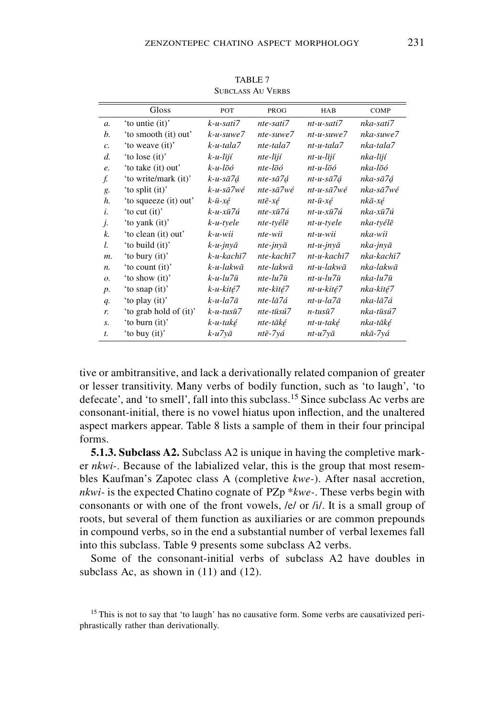|                 | Gloss                  | POT                        | PROG                    | HAB                         | COMP       |
|-----------------|------------------------|----------------------------|-------------------------|-----------------------------|------------|
| $\mathfrak{a}.$ | 'to untie (it)'        | k-u-sati7                  | nte-sati7               | $nt-u-sati7$                | nka-sati7  |
| b.              | 'to smooth (it) out'   | $k$ -u-suwe $7$            | $nte$ -suwe $7$         | $nt-u$ -suwe $7$            | nka-suwe7  |
| c.              | 'to weave (it)'        | k-u-tala7                  | nte-tala7               | $nt-u$ -tala $7$            | nka-tala7  |
| d.              | 'to lose (it)'         | $k - u - l \bar{i} j \ell$ | nte-lījí                | nt-u-lījí                   | nka-lījí   |
| e.              | 'to take (it) out'     | $k$ -u-lōó                 | $nte-l\bar{o}\acute{o}$ | $nt$ -u-l $\bar{o}$ ó       | nka-lōó    |
| f.              | 'to write/mark (it)'   | k-u-sā7á                   | nte-sā7á                | nt-u-sā7á                   | nka-sā7á   |
| g.              | 'to split (it)'        | k-u-sā7wé                  | nte-sā7wé               | $nt-u-s\bar{a}7w\acute{e}$  | nka-sā7wé  |
| h.              | 'to squeeze (it) out'  | $k$ -ū-xé                  | ntē-xé                  | $nt-\bar{u}$ - $x\acute{e}$ | nkā-xé     |
| i.              | 'to cut (it)'          | k-u-xū7ú                   | nte-xū7ú                | $nt$ -u-x $\bar{u}$ 7ú      | nka-xū7ú   |
| j.              | 'to yank (it)'         | k-u-tyele                  | nte-tyélē               | nt-u-tyele                  | nka-tyélē  |
| k.              | 'to clean (it) out'    | $k$ -u-wii                 | nte-wiī                 | nt-u-wii                    | nka-wiī    |
| l.              | 'to build (it)'        | k-u-jnyā                   | $nte$ -jny $\bar{a}$    | $nt-u$ - $inv\bar{a}$       | nka-jnyā   |
| m.              | 'to bury (it)'         | k-u-kachī7                 | nte-kachī7              | nt-u-kachī7                 | nka-kachī7 |
| n.              | 'to count (it)'        | k-u-lakwā                  | nte-lakwā               | $nt$ -u-lakw $\bar{a}$      | nka-lakwā  |
| ο.              | 'to show (it)'         | $k$ -u-lu $7\bar{u}$       | $nte$ -lu $7\bar{u}$    | $nt$ -u-lu $7\bar{u}$       | nka-lu7ū   |
| $p$ .           | 'to snap (it)'         | k-u-kité7                  | nte-kīté7               | nt-u-kité7                  | nka-kīté7  |
| q.              | 'to play (it)'         | $k$ -u-la7 $\bar{a}$       | nte-lā7á                | $nt$ -u-la $7\bar{a}$       | nka-lā7á   |
| r.              | 'to grab hold of (it)' | $k$ -u-tusū $7$            | $nte$ -tūsú $7$         | $n$ -tusū $7$               | nka-tūsú7  |
| s.              | 'to burn (it)'         | k-u-také                   | nte-tāké                | nt-u-také                   | nka-tāké   |
| $t$ .           | 'to buy (it)'          | k-u7yā                     | ntē-7yá                 | nt-u7yā                     | nkā-7yá    |
|                 |                        |                            |                         |                             |            |

TABLE 7 SUBCLASS AU VERBS

tive or ambitransitive, and lack a derivationally related companion of greater or lesser transitivity. Many verbs of bodily function, such as 'to laugh', 'to defecate', and 'to smell', fall into this subclass.15 Since subclass Ac verbs are consonant-initial, there is no vowel hiatus upon inflection, and the unaltered aspect markers appear. Table 8 lists a sample of them in their four principal forms.

**5.1.3. Subclass A2.** Subclass A2 is unique in having the completive marker *nkwi-*. Because of the labialized velar, this is the group that most resembles Kaufman's Zapotec class A (completive *kwe-*). After nasal accretion, *nkwi-* is the expected Chatino cognate of PZp \**kwe-*. These verbs begin with consonants or with one of the front vowels, /e/ or /i/. It is a small group of roots, but several of them function as auxiliaries or are common prepounds in compound verbs, so in the end a substantial number of verbal lexemes fall into this subclass. Table 9 presents some subclass A2 verbs.

Some of the consonant-initial verbs of subclass A2 have doubles in subclass Ac, as shown in  $(11)$  and  $(12)$ .

<sup>&</sup>lt;sup>15</sup> This is not to say that 'to laugh' has no causative form. Some verbs are causativized periphrastically rather than derivationally.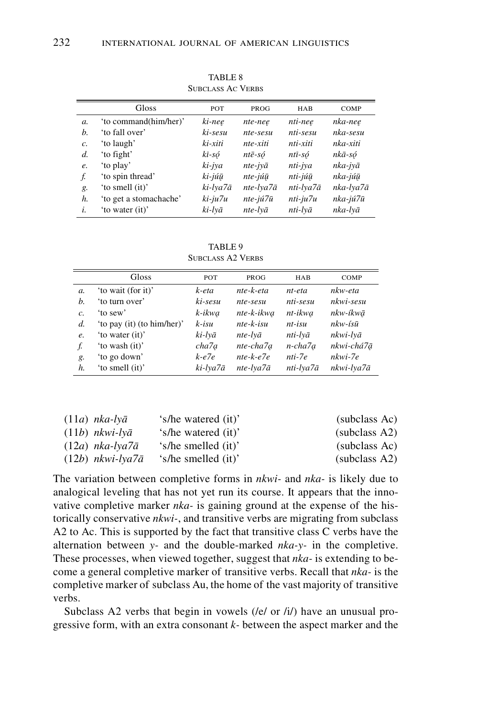|                 |                        | OUDCLASS TIC TEMPS |           |            |           |
|-----------------|------------------------|--------------------|-----------|------------|-----------|
|                 | Gloss                  | POT                | PROG      | <b>HAB</b> | COMP      |
| $\mathfrak{a}.$ | 'to command(him/her)'  | ki-nee             | nte-nee   | nti-nee    | nka-nee   |
| b.              | 'to fall over'         | ki-sesu            | nte-sesu  | nti-sesu   | nka-sesu  |
| $\mathcal{C}$ . | 'to laugh'             | ki-xiti            | nte-xiti  | nti-xiti   | nka-xiti  |
| d.              | 'to fight'             | kī-só              | ntē-só    | ntī-só     | nkā-só    |
| e.              | 'to play'              | ki-jya             | nte-jyā   | nti-jya    | nka-jyā   |
| f.              | 'to spin thread'       | ki-júū             | nte-júū   | nti-júū    | nka-júū   |
| g.              | 'to smell (it)'        | ki-lya7ā           | nte-lya7ā | nti-lya7ā  | nka-lya7ā |
| h.              | 'to get a stomachache' | ki-ju7u            | nte-jú7ū  | nti-ju7u   | nka-jú7ū  |
| i.              | 'to water (it)'        | ki-lvā             | nte-lvā   | nti-lvā    | nka-lvā   |

TABLE 8 SUBCLASS AC VERBS

TABLE 9 SUBCLASS A2 VERBS

|                  | Gloss                      | <b>POT</b> | <b>PROG</b> | <b>HAB</b>       | COMP         |
|------------------|----------------------------|------------|-------------|------------------|--------------|
| a.               | 'to wait (for it)'         | k-eta      | nte-k-eta   | $nt-eta$         | nkw-eta      |
| b.               | 'to turn over'             | ki-sesu    | nte-sesu    | nti-sesu         | $nkwi$ -sesu |
| $\overline{c}$ . | 'to sew'                   | k-ikwa     | nte-k-ikwa  | nt-ikwa          | nkw-íkwā     |
| d.               | 'to pay (it) (to him/her)' | $k$ -isu   | $nte-k-isu$ | $nt-$ <i>isu</i> | nkw-ísū      |
| e.               | 'to water (it)'            | ki-lvā     | nte-lvā     | nti-lvā          | nkwi-lvā     |
| f.               | 'to wash (it)'             | cha7a      | nte-cha7a   | n-cha7a          | nkwi-chá7ā   |
| g.               | 'to go down'               | $k-e7e$    | $nte-k-e7e$ | nti-7e           | nkwi-7e      |
| h.               | 'to smell (it)'            | ki-lya7ā   | nte-lya7ā   | nti-lya7ā        | nkwi-lya7ā   |

| $(11a)$ nka-lyā             | 's/he watered (it)' | (subclass Ac) |
|-----------------------------|---------------------|---------------|
| $(11b)$ nkwi-lyā            | 's/he watered (it)' | subclass A2)  |
| $(12a)$ nka-lya $7\bar{a}$  | 's/he smelled (it)' | (subclass Ac) |
| $(12b)$ nkwi-lya $7\bar{a}$ | 's/he smelled (it)' | subclass A2)  |

The variation between completive forms in *nkwi-* and *nka-* is likely due to analogical leveling that has not yet run its course. It appears that the innovative completive marker *nka-* is gaining ground at the expense of the historically conservative *nkwi-*, and transitive verbs are migrating from subclass A2 to Ac. This is supported by the fact that transitive class C verbs have the alternation between *y-* and the double-marked *nka-y-* in the completive. These processes, when viewed together, suggest that *nka-* is extending to become a general completive marker of transitive verbs. Recall that *nka-* is the completive marker of subclass Au, the home of the vast majority of transitive verbs.

Subclass A2 verbs that begin in vowels (/e/ or /i/) have an unusual progressive form, with an extra consonant *k-* between the aspect marker and the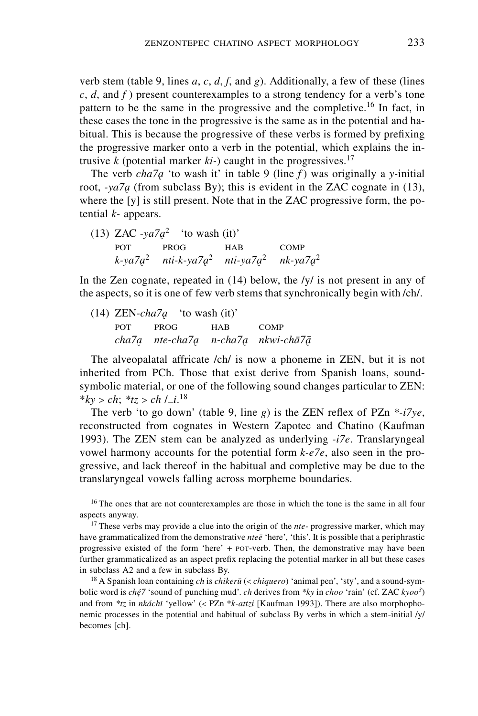verb stem (table 9, lines *a*, *c*, *d*, *f*, and *g*). Additionally, a few of these (lines *c*, *d*, and *f* ) present counterexamples to a strong tendency for a verb's tone pattern to be the same in the progressive and the completive.<sup>16</sup> In fact, in these cases the tone in the progressive is the same as in the potential and habitual. This is because the progressive of these verbs is formed by prefixing the progressive marker onto a verb in the potential, which explains the intrusive  $k$  (potential marker  $ki$ -) caught in the progressives.<sup>17</sup>

The verb  $cha7a$  'to wash it' in table 9 (line *f*) was originally a *y*-initial root,  $\frac{1}{2}$  (from subclass By); this is evident in the ZAC cognate in (13), where the [y] is still present. Note that in the ZAC progressive form, the potential *k-* appears.

(13) ZAC  $-ya7a^2$  'to wash (it)' POT PROG HAB COMP *k-ya7*Ç<sup>2</sup> *nti-k-ya7*Ç<sup>2</sup> *nti-ya7*Ç<sup>2</sup> *nk-ya7*Ç<sup>2</sup>

In the Zen cognate, repeated in (14) below, the /y/ is not present in any of the aspects, so it is one of few verb stems that synchronically begin with /ch/.

(14)  $ZEN-cha7a$  'to wash (it)' pot prog hab comp *cha7*<sup>Ç</sup> *nte-cha7*<sup>Ç</sup> *n-cha7*<sup>Ç</sup> *nkwi-cha7*Ç—

The alveopalatal affricate /ch/ is now a phoneme in ZEN, but it is not inherited from PCh. Those that exist derive from Spanish loans, soundsymbolic material, or one of the following sound changes particular to ZEN: \* $ky > ch$ ; \* $tz > ch / Li$ .<sup>18</sup><br>The yerb 'to go down

The verb 'to go down' (table 9, line *g*) is the ZEN reflex of PZn *\*-i7ye*, reconstructed from cognates in Western Zapotec and Chatino (Kaufman 1993). The ZEN stem can be analyzed as underlying *-i7e*. Translaryngeal vowel harmony accounts for the potential form *k-e7e*, also seen in the progressive, and lack thereof in the habitual and completive may be due to the translaryngeal vowels falling across morpheme boundaries.

<sup>16</sup> The ones that are not counterexamples are those in which the tone is the same in all four aspects anyway.

<sup>17</sup> These verbs may provide a clue into the origin of the *nte*- progressive marker, which may have grammaticalized from the demonstrative *ntee* 'here', 'this'. It is possible that a periphrastic progressive existed of the form 'here' + pot-verb. Then, the demonstrative may have been further grammaticalized as an aspect prefix replacing the potential marker in all but these cases in subclass A2 and a few in subclass By.

18 A Spanish loan containing *ch* is *chikeru* (< *chiquero*) 'animal pen', 'sty', and a sound-symbolic word is *ché74* 'sound of punching mud'. *ch* derives from *\*ky* in *choo* 'rain' (cf. ZAC *kyoo<sup>3</sup>*) and from *\*tz* in *nkáchi* 'yellow' (< PZn \**k-attzi* [Kaufman 1993]). There are also morphophonemic processes in the potential and habitual of subclass By verbs in which a stem-initial /y/ becomes [ch].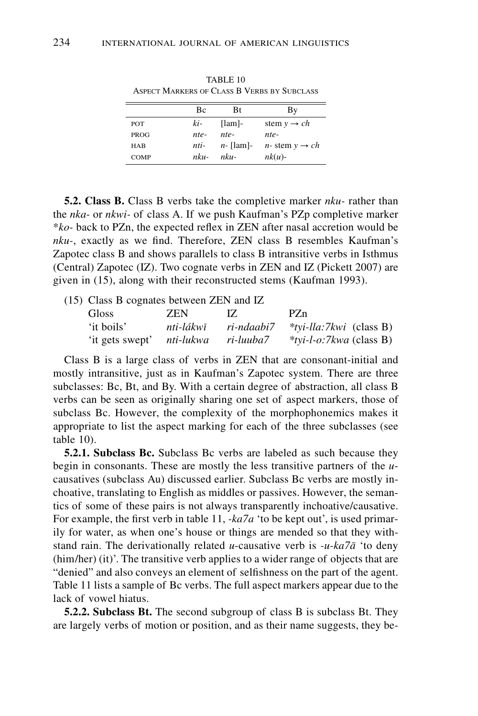|             |      |              | TMI ECI INANNENO OI "CEASO D" I ENDO DI "OUDCEASO" |
|-------------|------|--------------|----------------------------------------------------|
|             | Вc   | Bt           | Bv                                                 |
| POT         | ki-  | $[lam]$ -    | stem $y \rightarrow ch$                            |
| <b>PROG</b> | nte- | $nte-$       | nte-                                               |
| <b>HAB</b>  | nti- | $n$ - [lam]- | <i>n</i> -stem $y \rightarrow ch$                  |
| <b>COMP</b> | nku- | $nku-$       | $nk(u)$ -                                          |

TABLE 10 Aspect Markers of Class B Verbs by Subclass

**5.2. Class B.** Class B verbs take the completive marker *nku-* rather than the *nka-* or *nkwi-* of class A. If we push Kaufman's PZp completive marker \**ko-* back to PZn, the expected reflex in ZEN after nasal accretion would be *nku-*, exactly as we find. Therefore, ZEN class B resembles Kaufman's Zapotec class B and shows parallels to class B intransitive verbs in Isthmus (Central) Zapotec (IZ). Two cognate verbs in ZEN and IZ (Pickett 2007) are given in (15), along with their reconstructed stems (Kaufman 1993).

(15) Class B cognates between ZEN and IZ

| Gloss                     | ZEN.      | IZ.        | PZn                            |
|---------------------------|-----------|------------|--------------------------------|
| 'it boils'                | nti-lákwī | ri-ndaabi7 | <i>*tyi-lla:7kwi</i> (class B) |
| 'it gets swept' nti-lukwa |           | ri-luuba7  | $*$ tvi-l-o:7kwa (class B)     |

Class B is a large class of verbs in ZEN that are consonant-initial and mostly intransitive, just as in Kaufman's Zapotec system. There are three subclasses: Bc, Bt, and By. With a certain degree of abstraction, all class B verbs can be seen as originally sharing one set of aspect markers, those of subclass Bc. However, the complexity of the morphophonemics makes it appropriate to list the aspect marking for each of the three subclasses (see table 10).

**5.2.1. Subclass Bc.** Subclass Bc verbs are labeled as such because they begin in consonants. These are mostly the less transitive partners of the *u*causatives (subclass Au) discussed earlier. Subclass Bc verbs are mostly inchoative, translating to English as middles or passives. However, the semantics of some of these pairs is not always transparently inchoative/causative. For example, the first verb in table 11, *-ka7a* 'to be kept out', is used primarily for water, as when one's house or things are mended so that they withstand rain. The derivationally related *u*-causative verb is *-u-ka7a* 'to deny (him/her) (it)'. The transitive verb applies to a wider range of objects that are "denied" and also conveys an element of selfishness on the part of the agent. Table 11 lists a sample of Bc verbs. The full aspect markers appear due to the lack of vowel hiatus.

**5.2.2. Subclass Bt.** The second subgroup of class B is subclass Bt. They are largely verbs of motion or position, and as their name suggests, they be-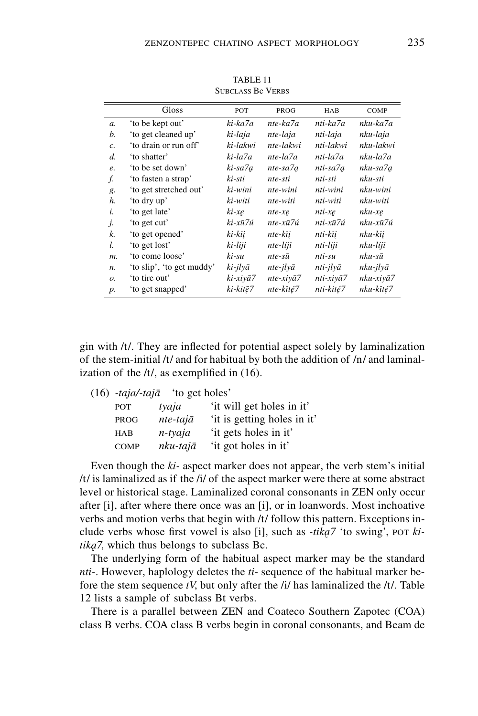|                 | Gloss                     | POT      | PROG                     | HAB       | COMP      |
|-----------------|---------------------------|----------|--------------------------|-----------|-----------|
| $\mathfrak{a}.$ | 'to be kept out'          | ki-ka7a  | nte-ka7a                 | nti-ka7a  | nku-ka7a  |
| b.              | 'to get cleaned up'       | ki-laja  | nte-laja                 | nti-laja  | nku-laja  |
| c.              | 'to drain or run off'     | ki-lakwi | nte-lakwi                | nti-lakwi | nku-lakwi |
| d.              | 'to shatter'              | ki-la7a  | nte-la7a                 | nti-la7a  | nku-la7a  |
| e.              | 'to be set down'          | ki-sa7a  | nte-sa7a                 | nti-sa7a  | nku-sa7a  |
| f.              | 'to fasten a strap'       | ki-sti   | nte-sti                  | nti-sti   | nku-sti   |
| g.              | 'to get stretched out'    | ki-wini  | nte-wini                 | nti-wini  | nku-wini  |
| h.              | 'to dry up'               | ki-witi  | nte-witi                 | nti-witi  | nku-witi  |
| i.              | 'to get late'             | $ki$ -xe | nte-xe                   | nti-xe    | nku-xe    |
| j.              | 'to get cut'              | ki-xū7ú  | nte-xū7ú                 | nti-xū7ú  | nku-xū7ú  |
| k.              | 'to get opened'           | ki-kīi   | nte-kīi                  | nti-kīi   | nku-kīi   |
| l.              | 'to get lost'             | ki-liji  | nte-líjī                 | nti-liji  | nku-líjī  |
| $m$ .           | 'to come loose'           | ki-su    | $nte-s\bar{u}$           | nti-su    | nku-sū    |
| n.              | 'to slip', 'to get muddy' | ki-jlyā  | $nte$ -j $l$ y $\bar{a}$ | nti-jlyā  | nku-jlyā  |
| 0.              | 'to tire out'             | ki-xiyā7 | $nte-xiv\bar{a}7$        | nti-xiyā7 | nku-xiyā7 |
| $p$ .           | 'to get snapped'          | ki-kitē7 | nte-kīté7                | nti-kité7 | nku-kīté7 |

TABLE 11 Subclass Bc Verbs

gin with /t/. They are inflected for potential aspect solely by laminalization of the stem-initial  $/t/$  and for habitual by both the addition of  $/n/$  and laminalization of the /t/, as exemplified in (16).

|             | 'to get holes'   |                             |
|-------------|------------------|-----------------------------|
| POT         | tyaja            | 'it will get holes in it'   |
| <b>PROG</b> | $nte-taj\bar{a}$ | 'it is getting holes in it' |
| <b>HAB</b>  | n-tyaja          | 'it gets holes in it'       |
| <b>COMP</b> | nku-tajā         | 'it got holes in it'        |
|             |                  | (16) -taja/-tajā            |

Even though the *ki-* aspect marker does not appear, the verb stem's initial /t/ is laminalized as if the /i/ of the aspect marker were there at some abstract level or historical stage. Laminalized coronal consonants in ZEN only occur after [i], after where there once was an [i], or in loanwords. Most inchoative verbs and motion verbs that begin with /t/ follow this pattern. Exceptions include verbs whose first vowel is also [i], such as *-tika*<sup>7</sup> 'to swing', por *ki* $tika$ <sup>7</sup>, which thus belongs to subclass Bc.

The underlying form of the habitual aspect marker may be the standard *nti-*. However, haplology deletes the *ti-* sequence of the habitual marker before the stem sequence *tV*, but only after the /i/ has laminalized the /t/. Table 12 lists a sample of subclass Bt verbs.

There is a parallel between ZEN and Coateco Southern Zapotec (COA) class B verbs. COA class B verbs begin in coronal consonants, and Beam de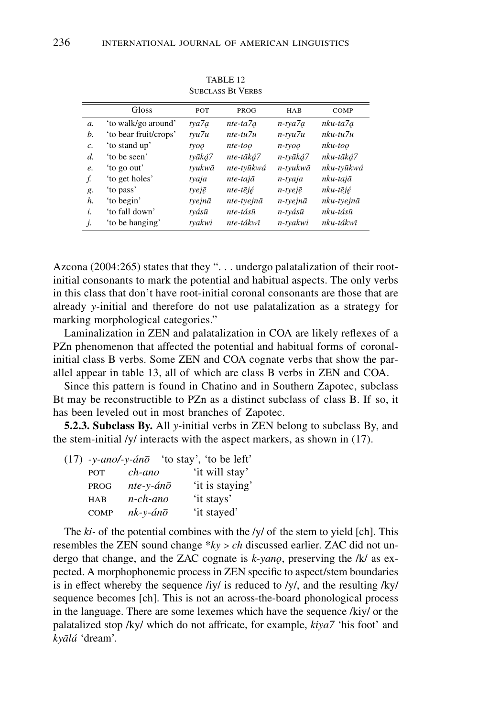|                 | Gloss                 | POT    | PROG       | HAB                 | <b>COMP</b> |
|-----------------|-----------------------|--------|------------|---------------------|-------------|
| $\mathfrak{a}.$ | 'to walk/go around'   | tya7a  | nte-ta7a   | n-tya7a             | nku-ta7a    |
| b.              | 'to bear fruit/crops' | tyu7u  | nte-tu7u   | $n$ -tvu $7u$       | $nku-tu7u$  |
| $\mathcal{C}$ . | 'to stand up'         | tyoo   | nte-too    | $n$ -tyoo           | nku-too     |
| d.              | 'to be seen'          | tvāká7 | nte-tāká7  | n-tyāká7            | nku-tāká7   |
| e.              | to go out'            | tvukwā | nte-tvūkwá | n-tyukwā            | nku-tvūkwá  |
| f.              | 'to get holes'        | tyaja  | nte-tajā   | n-tyaja             | nku-tajā    |
| g.              | 'to pass'             | tyejē  | nte-tējé   | $n$ -tyej $\bar{e}$ | nku-tējé    |
| h.              | 'to begin'            | tyejnā | nte-tyejnā | $n$ -tyejnā         | nku-tyejnā  |
| i.              | 'to fall down'        | tvásū  | nte-tásū   | n-tyásū             | nku-tásū    |
| j.              | 'to be hanging'       | tvakwi | nte-tákwī  | n-tyakwi            | nku-tákwī   |

TABLE 12 Subclass Bt Verbs

Azcona (2004:265) states that they ". . . undergo palatalization of their rootinitial consonants to mark the potential and habitual aspects. The only verbs in this class that don't have root-initial coronal consonants are those that are already *y-*initial and therefore do not use palatalization as a strategy for marking morphological categories."

Laminalization in ZEN and palatalization in COA are likely reflexes of a PZn phenomenon that affected the potential and habitual forms of coronalinitial class B verbs. Some ZEN and COA cognate verbs that show the parallel appear in table 13, all of which are class B verbs in ZEN and COA.

Since this pattern is found in Chatino and in Southern Zapotec, subclass Bt may be reconstructible to PZn as a distinct subclass of class B. If so, it has been leveled out in most branches of Zapotec.

**5.2.3. Subclass By.** All *y-*initial verbs in ZEN belong to subclass By, and the stem-initial /y/ interacts with the aspect markers, as shown in (17).

|             | $(17)$ -y-ano/-y-án $\overline{\sigma}$ 'to stay', 'to be left' |                 |
|-------------|-----------------------------------------------------------------|-----------------|
| <b>POT</b>  | ch-ano                                                          | 'it will stay'  |
| <b>PROG</b> | $nte$ -y-án $\bar{o}$                                           | 'it is staying' |
| <b>HAB</b>  | n-ch-ano                                                        | 'it stays'      |
| COMP        | $nk$ -y-án $\bar{o}$                                            | 'it stayed'     |

The *ki-* of the potential combines with the /y/ of the stem to yield [ch]. This resembles the ZEN sound change \**ky* > *ch* discussed earlier. ZAC did not undergo that change, and the ZAC cognate is  $k$ -yano, preserving the /k/ as expected. A morphophonemic process in ZEN specific to aspect/stem boundaries is in effect whereby the sequence /iy/ is reduced to /y/, and the resulting /ky/ sequence becomes [ch]. This is not an across-the-board phonological process in the language. There are some lexemes which have the sequence /kiy/ or the palatalized stop /ky/ which do not affricate, for example, *kiya7* 'his foot' and *kyalá* 'dream'.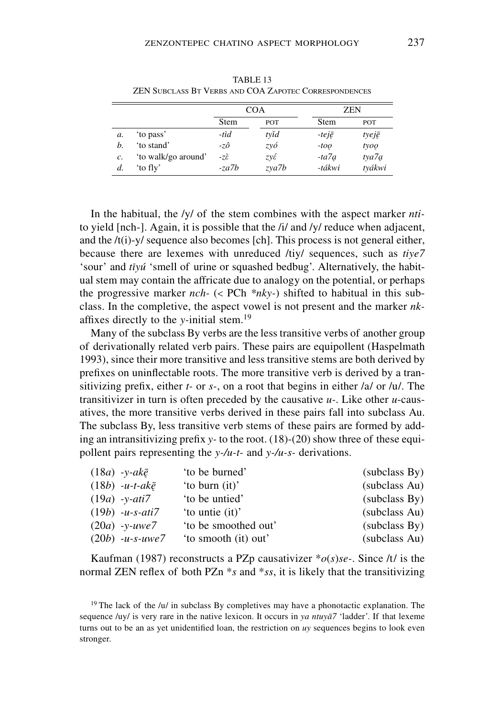| TABLE 13<br><b>ZEN SUBCLASS BT VERBS AND COA ZAPOTEC CORRESPONDENCES</b> |            |
|--------------------------------------------------------------------------|------------|
| COA                                                                      | <b>ZEN</b> |

|    |                     | COA                     |            | <b>ZEN</b>    |        |
|----|---------------------|-------------------------|------------|---------------|--------|
|    |                     | Stem                    | <b>POT</b> | Stem          | POT    |
| а. | 'to pass'           | -tìd                    | tyĭd       | $-tei\bar{e}$ | tyejē  |
| h. | 'to stand'          | -zô                     | zyó        | $-too$        | tyoo   |
| c. | 'to walk/go around' | $-7\tilde{\varepsilon}$ | zγέ        | $-ta7a$       | tya7a  |
| d. | 'to fly'            | $-za7b$                 | zya7b      | -tákwi        | tvákwi |

In the habitual, the /y/ of the stem combines with the aspect marker *nti*to yield [nch-]. Again, it is possible that the /i/ and /y/ reduce when adjacent, and the  $/t(i)$ -y/ sequence also becomes [ch]. This process is not general either, because there are lexemes with unreduced /tiy/ sequences, such as *tiye7* 'sour' and *tiyú* 'smell of urine or squashed bedbug'. Alternatively, the habitual stem may contain the affricate due to analogy on the potential, or perhaps the progressive marker *nch-* (< PCh *\*nky-*) shifted to habitual in this subclass. In the completive, the aspect vowel is not present and the marker *nk*affixes directly to the *y-*initial stem.<sup>19</sup>

Many of the subclass By verbs are the less transitive verbs of another group of derivationally related verb pairs. These pairs are equipollent (Haspelmath 1993), since their more transitive and less transitive stems are both derived by prefixes on uninflectable roots. The more transitive verb is derived by a transitivizing prefix, either *t-* or *s-*, on a root that begins in either /a/ or /u/. The transitivizer in turn is often preceded by the causative *u-*. Like other *u*-causatives, the more transitive verbs derived in these pairs fall into subclass Au. The subclass By, less transitive verb stems of these pairs are formed by adding an intransitivizing prefix *y-* to the root. (18)-(20) show three of these equipollent pairs representing the *y-/u-t-* and *y-/u-s-* derivations.

| $(18a)$ -y-ak $\bar{e}$   | 'to be burned'       | (subclass By) |
|---------------------------|----------------------|---------------|
| $(18b)$ -u-t-ak $\bar{e}$ | 'to burn (it)'       | (subclass Au) |
| $(19a)$ -v-ati7           | 'to be untied'       | (subclass By) |
| $(19b) -u-s-ati7$         | 'to untie (it)'      | (subclass Au) |
| $(20a) -v$ -uwe7          | 'to be smoothed out' | (subclass By) |
| $(20b)$ -u-s-uwe7         | 'to smooth (it) out' | (subclass Au) |

Kaufman (1987) reconstructs a PZp causativizer \**o*(*s*)*se-*. Since /t/ is the normal ZEN reflex of both PZn \**s* and \**ss*, it is likely that the transitivizing

<sup>19</sup> The lack of the /u/ in subclass By completives may have a phonotactic explanation. The sequence /uy/ is very rare in the native lexicon. It occurs in *ya ntuya7* 'ladder'. If that lexeme turns out to be an as yet unidentified loan, the restriction on *uy* sequences begins to look even stronger.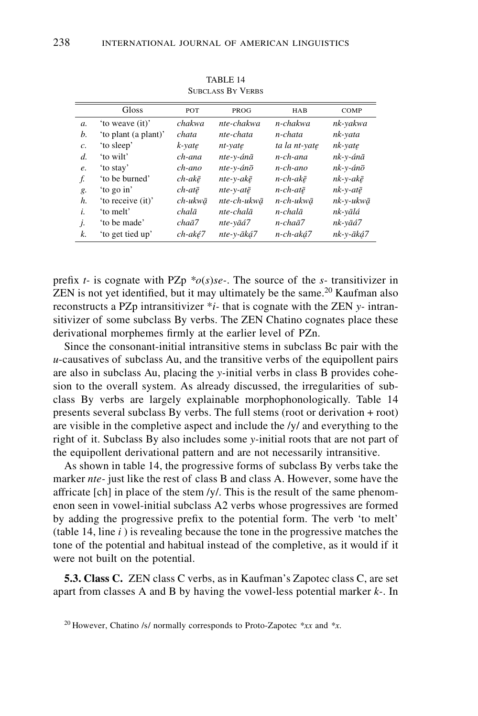|                 | Gloss                | POT                | PROG                  | <b>HAB</b>    | COMP                 |
|-----------------|----------------------|--------------------|-----------------------|---------------|----------------------|
| a.              | 'to weave (it)'      | chakwa             | nte-chakwa            | n-chakwa      | nk-yakwa             |
| b.              | 'to plant (a plant)' | chata              | nte-chata             | n-chata       | nk-yata              |
| $\mathcal{C}$ . | 'to sleep'           | k-vate             | nt-vate               | ta la nt-vate | nk-yate              |
| d.              | 'to wilt'            | ch-ana             | nte-v-ánā             | $n$ -ch-ana   | nk-y-ánā             |
| e.              | 'to stay'            | ch-ano             | nte-v-ánō             | $n$ -ch-ano   | nk-y-ánō             |
| f.              | 'to be burned'       | $ch$ -ak $\bar{e}$ | $nte-v-ak\bar{e}$     | n-ch-akē      | $nk$ -y-ak $\bar{e}$ |
| g.              | 'to go in'           | $ch$ -atē          | $nte-v-at\bar{e}$     | $n$ -ch-atē   | $nk$ -v-atē          |
| h.              | 'to receive (it)'    | ch-ukwā            | nte-ch-ukwā           | n-ch-ukwā     | nk-v-ukwā            |
| i.              | 'to melt'            | chalā              | $nte$ -chal $\bar{a}$ | $n$ -chalā    | nk-yālá              |
| j.              | 'to be made'         | $cha\bar{a}7$      | nte-vāá7              | n-chaā7       | nk-vāá7              |
| k.              | 'to get tied up'     | ch-aké7            | nte-v-āká7            | n-ch-aká7     | nk-v-āká7            |

TABLE 14 Subclass By Verbs

prefix *t*- is cognate with PZp  $*o(s)$ *se*-. The source of the *s*- transitivizer in  $ZEN$  is not yet identified, but it may ultimately be the same.<sup>20</sup> Kaufman also reconstructs a PZp intransitivizer \**i-* that is cognate with the ZEN *y-* intransitivizer of some subclass By verbs. The ZEN Chatino cognates place these derivational morphemes firmly at the earlier level of PZn.

Since the consonant-initial intransitive stems in subclass Bc pair with the *u*-causatives of subclass Au, and the transitive verbs of the equipollent pairs are also in subclass Au, placing the *y-*initial verbs in class B provides cohesion to the overall system. As already discussed, the irregularities of subclass By verbs are largely explainable morphophonologically. Table 14 presents several subclass By verbs. The full stems (root or derivation + root) are visible in the completive aspect and include the /y/ and everything to the right of it. Subclass By also includes some *y-*initial roots that are not part of the equipollent derivational pattern and are not necessarily intransitive.

As shown in table 14, the progressive forms of subclass By verbs take the marker *nte-* just like the rest of class B and class A. However, some have the affricate [ch] in place of the stem /y/. This is the result of the same phenomenon seen in vowel-initial subclass A2 verbs whose progressives are formed by adding the progressive prefix to the potential form. The verb 'to melt' (table 14, line *i* ) is revealing because the tone in the progressive matches the tone of the potential and habitual instead of the completive, as it would if it were not built on the potential.

**5.3. Class C.** ZEN class C verbs, as in Kaufman's Zapotec class C, are set apart from classes A and B by having the vowel-less potential marker *k-*. In

<sup>20</sup> However, Chatino /s/ normally corresponds to Proto-Zapotec *\*xx* and *\*x*.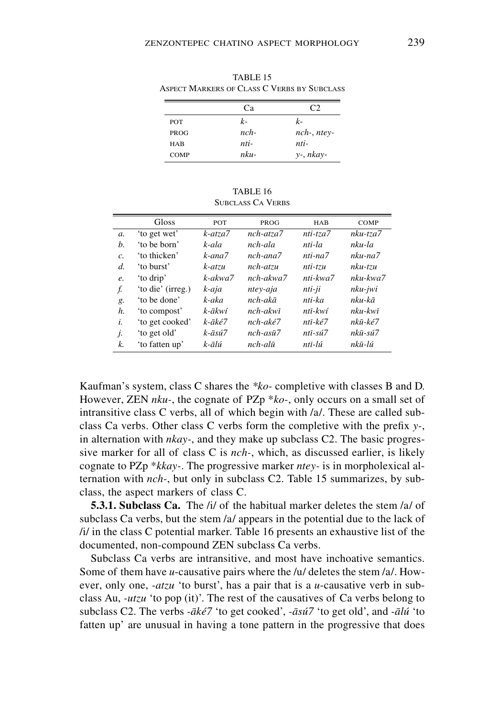| ASPECT MARKERS OF CLASS C VERBS BY SUBCLASS |        |                   |  |  |  |
|---------------------------------------------|--------|-------------------|--|--|--|
|                                             | Cа     |                   |  |  |  |
| <b>POT</b>                                  | k-     | $k-$              |  |  |  |
| <b>PROG</b>                                 | $nch-$ | $nch$ -, $ntev$ - |  |  |  |
| HAB                                         | nti-   | nti-              |  |  |  |
| <b>COMP</b>                                 | $nku-$ | $y$ -, $nkay$ -   |  |  |  |

TABLE 15 Aspect Markers of Class C Verbs by Subclass

TABLE 16 SUBCLASS CA VERBS

|    | Gloss             | <b>POT</b>              | PROG                    | <b>HAB</b>     | COMP           |
|----|-------------------|-------------------------|-------------------------|----------------|----------------|
| a. | 'to get wet'      | $k$ -atza $7$           | nch-atza7               | nti-tza7       | $nku-tza7$     |
| h. | 'to be born'      | k-ala                   | nch-ala                 | nti-la         | nku-la         |
| c. | 'to thicken'      | k-ana7                  | $nch$ -ana $7$          | nti-na7        | nku-na7        |
| d. | 'to burst'        | k-atzu                  | nch-atzu                | $nti$ - $tzu$  | $nku-tzu$      |
| e. | 'to drip'         | $k$ -akwa $7$           | $nch - akwa$            | $nti$ -kwa $7$ | $nku$ -kwa $7$ |
| f. | 'to die' (irreg.) | k-aja                   | ntey-aja                | nti-ji         | nku-jwi        |
| g. | 'to be done'      | k-aka                   | $nch - ak\bar{a}$       | nti-ka         | nku-kā         |
| h. | 'to compost'      | $k$ -ākwí               | $nch - akw\overline{i}$ | ntī-kwí        | nku-kwī        |
| i. | 'to get cooked'   | k-āké7                  | $nch - ak\acute{e}7$    | ntī-ké7        | nkū-ké7        |
| j. | 'to get old'      | $k - \bar{a} s \hat{u}$ | $nch-as\bar{u}7$        | $nti-sú7$      | nkū-sú7        |
| k. | 'to fatten up'    | k-ālú                   | $nch$ -alū              | ntī-lú         | nkū-lú         |

Kaufman's system, class C shares the *\*ko-* completive with classes B and D. However, ZEN *nku-*, the cognate of PZp \**ko-*, only occurs on a small set of intransitive class C verbs, all of which begin with /a/. These are called subclass Ca verbs. Other class C verbs form the completive with the prefix *y-*, in alternation with *nkay-*, and they make up subclass C2. The basic progressive marker for all of class C is *nch-*, which, as discussed earlier, is likely cognate to PZp \**kkay-*. The progressive marker *ntey-* is in morpholexical alternation with *nch-*, but only in subclass C2. Table 15 summarizes, by subclass, the aspect markers of class C.

**5.3.1. Subclass Ca.** The /i/ of the habitual marker deletes the stem /a/ of subclass Ca verbs, but the stem /a/ appears in the potential due to the lack of /i/ in the class C potential marker. Table 16 presents an exhaustive list of the documented, non-compound ZEN subclass Ca verbs.

Subclass Ca verbs are intransitive, and most have inchoative semantics. Some of them have *u*-causative pairs where the /u/ deletes the stem /a/. However, only one, *-atzu* 'to burst', has a pair that is a *u*-causative verb in subclass Au, *-utzu* 'to pop (it)'. The rest of the causatives of Ca verbs belong to subclass C2. The verbs *-aké7* 'to get cooked', *-asú7* 'to get old', and *-alú* 'to fatten up' are unusual in having a tone pattern in the progressive that does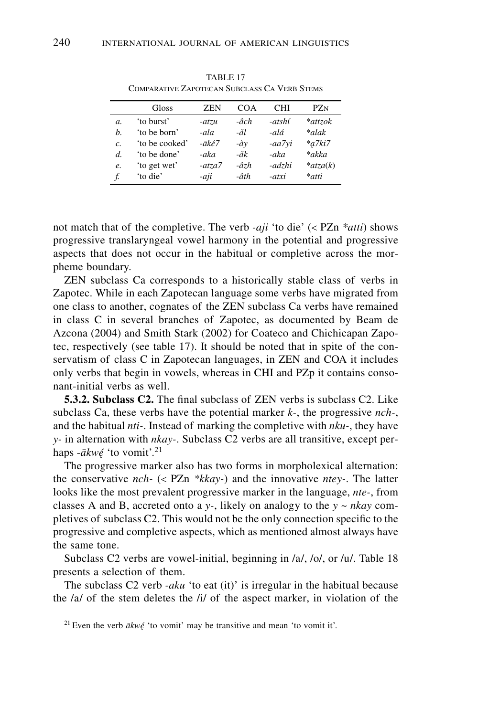| ℸ<br>×<br>۰. |  |
|--------------|--|
|              |  |
|              |  |
|              |  |

|    | Gloss          | <b>ZEN</b>             | COA          | CHI    | PZ <sub>N</sub> |
|----|----------------|------------------------|--------------|--------|-----------------|
| a. | 'to burst'     | $-atzu$                | -âch         | -atshí | *attzok         |
| h. | 'to be born'   | -ala                   | -ăl          | -alá   | *alak           |
| c. | 'to be cooked' | $- \bar{a}k\acute{e}7$ | $-\hat{a}v$  | -aa7yi | $*a7ki7$        |
| d. | 'to be done'   | -aka                   | -ăk          | -aka   | *akka           |
| e. | 'to get wet'   | $-atza7$               | $-\hat{a}zh$ | -adzhi | $*atza(k)$      |
| f. | 'to die'       | -aji                   | -âth         | -atxi  | *atti           |

TABLE 17 COMPARATIVE ZAPOTECAN SUBCLASS CA VERB STEMS

not match that of the completive. The verb *-aji* 'to die' (< PZn *\*atti*) shows progressive translaryngeal vowel harmony in the potential and progressive aspects that does not occur in the habitual or completive across the morpheme boundary.

ZEN subclass Ca corresponds to a historically stable class of verbs in Zapotec. While in each Zapotecan language some verbs have migrated from one class to another, cognates of the ZEN subclass Ca verbs have remained in class C in several branches of Zapotec, as documented by Beam de Azcona (2004) and Smith Stark (2002) for Coateco and Chichicapan Zapotec, respectively (see table 17). It should be noted that in spite of the conservatism of class C in Zapotecan languages, in ZEN and COA it includes only verbs that begin in vowels, whereas in CHI and PZp it contains consonant-initial verbs as well.

**5.3.2. Subclass C2.** The final subclass of ZEN verbs is subclass C2. Like subclass Ca, these verbs have the potential marker *k-*, the progressive *nch-*, and the habitual *nti-*. Instead of marking the completive with *nku-*, they have *y-* in alternation with *nkay-*. Subclass C2 verbs are all transitive, except perhaps -*akwé* 'to vomit'. *4* <sup>21</sup>

The progressive marker also has two forms in morpholexical alternation: the conservative *nch-* (< PZn *\*kkay-*) and the innovative *ntey-*. The latter looks like the most prevalent progressive marker in the language, *nte-*, from classes A and B, accreted onto a *y-*, likely on analogy to the *y* ~ *nkay* completives of subclass C2. This would not be the only connection specific to the progressive and completive aspects, which as mentioned almost always have the same tone.

Subclass C2 verbs are vowel-initial, beginning in /a/, /o/, or /u/. Table 18 presents a selection of them.

The subclass C2 verb *-aku* 'to eat (it)' is irregular in the habitual because the /a/ of the stem deletes the /i/ of the aspect marker, in violation of the

<sup>21</sup> Even the verb  $\bar{a}kw\acute{e}$  'to vomit' may be transitive and mean 'to vomit it'.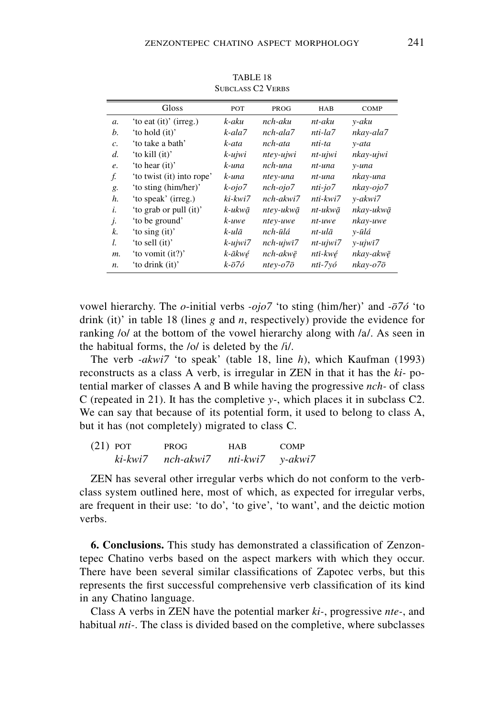|                 | Gloss                     | POT                | PROG                      | HAB            | <b>COMP</b>           |
|-----------------|---------------------------|--------------------|---------------------------|----------------|-----------------------|
| $\mathfrak{a}.$ | 'to eat (it)' (irreg.)    | k-aku              | nch-aku                   | $nt-aku$       | y-aku                 |
| b.              | 'to hold (it)'            | $k$ -ala $7$       | $nch$ -ala $7$            | $nti$ -la $7$  | nkay-ala7             |
| c.              | 'to take a bath'          | k-ata              | nch-ata                   | nti-ta         | y-ata                 |
| d.              | 'to kill (it)'            | $k$ -ujwi          | ntey-ujwi                 | nt-ujwi        | nkay-ujwi             |
| e.              | 'to hear (it)'            | k-una              | nch-una                   | nt-una         | y-una                 |
| f.              | 'to twist (it) into rope' | k-una              | ntey-una                  | nt-una         | nkay-una              |
| g.              | 'to sting (him/her)'      | $k$ -ojo $7$       | $nch-oio7$                | $nti$ -jo $7$  | nkay-ojo7             |
| h.              | 'to speak' (irreg.)       | ki-kwi7            | $nch - akwi7$             | nti-kwi7       | v-akwi7               |
| i.              | 'to grab or pull (it)'    | k-ukwā             | ntev-ukwā                 | nt-ukwā        | nkay-ukwā             |
| j.              | 'to be ground'            | k-uwe              | ntey-uwe                  | nt-uwe         | nkay-uwe              |
| k.              | 'to sing (it)'            | k-ulā              | nch-ūlá                   | nt-ulā         | v-ūlá                 |
| l.              | 'to sell (it)'            | $k$ -ujwi $7$      | $nch-ujwi7$               | $nt$ -ujwi $7$ | $y - ujwi7$           |
| m.              | 'to vomit (it?)'          | k-ākwé             | nch-akwē                  | ntī-kwé        | nkay-akwē             |
| n.              | 'to drink (it)'           | $k-\overline{o}76$ | $nte$ y- $o7\overline{o}$ | ntī-7yó        | $nkay-o7\overline{o}$ |

TABLE 18 SUBCLASS C2 VERBS

vowel hierarchy. The *o*-initial verbs *-ojo7* 'to sting (him/her)' and *-o7ó* 'to drink (it)' in table 18 (lines *g* and *n*, respectively) provide the evidence for ranking /o/ at the bottom of the vowel hierarchy along with /a/. As seen in the habitual forms, the /o/ is deleted by the /i/.

The verb *-akwi7* 'to speak' (table 18, line *h*), which Kaufman (1993) reconstructs as a class A verb, is irregular in ZEN in that it has the *ki-* potential marker of classes A and B while having the progressive *nch-* of class C (repeated in 21). It has the completive *y-*, which places it in subclass C2. We can say that because of its potential form, it used to belong to class A, but it has (not completely) migrated to class C.

| $(21)$ POT | ki-kwi7 | PROG-<br>nch-akwi7 | HAB<br>nti-kwi7 | <b>COMP</b> |
|------------|---------|--------------------|-----------------|-------------|
|            |         |                    |                 | y-akwi7     |

ZEN has several other irregular verbs which do not conform to the verbclass system outlined here, most of which, as expected for irregular verbs, are frequent in their use: 'to do', 'to give', 'to want', and the deictic motion verbs.

**6. Conclusions.** This study has demonstrated a classification of Zenzontepec Chatino verbs based on the aspect markers with which they occur. There have been several similar classifications of Zapotec verbs, but this represents the first successful comprehensive verb classification of its kind in any Chatino language.

Class A verbs in ZEN have the potential marker *ki-*, progressive *nte-*, and habitual *nti-*. The class is divided based on the completive, where subclasses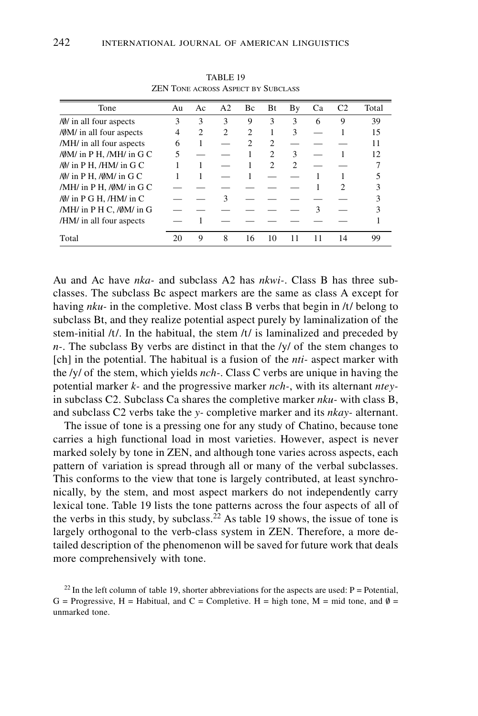| Tone                                            | Au | Ac                          | A <sub>2</sub> | Bc             | Bt                          | By                          | Ca | C <sub>2</sub> | Total |
|-------------------------------------------------|----|-----------------------------|----------------|----------------|-----------------------------|-----------------------------|----|----------------|-------|
| /0/ in all four aspects                         | 3  | 3                           | 3              | 9              | 3                           | 3                           | 6  | 9              | 39    |
| /ØM/ in all four aspects                        | 4  | $\mathcal{D}_{\mathcal{L}}$ | $\mathfrak{D}$ | $\overline{c}$ |                             | 3                           |    |                | 15    |
| /MH/ in all four aspects                        | 6  |                             |                | $\mathcal{D}$  | $\mathcal{P}$               |                             |    |                | 11    |
| / $\emptyset$ M/ in P H, /MH/ in G C            | 5  |                             |                |                | $\mathfrak{D}$              | 3                           |    |                | 12    |
| / $\emptyset$ / in P H, /HM/ in G C             |    |                             |                |                | $\mathcal{D}_{\mathcal{L}}$ | $\mathcal{D}_{\mathcal{A}}$ |    |                |       |
| / $\emptyset$ / in P H, / $\emptyset$ M/ in G C |    |                             |                |                |                             |                             |    |                |       |
| /MH/ in $P H$ , / $\emptyset$ M/ in G C         |    |                             |                |                |                             |                             |    | 2              |       |
| / $\emptyset$ / in P G H, /HM/ in C             |    |                             | ٩              |                |                             |                             |    |                |       |
| /MH/ in P H C, /ØM/ in G                        |    |                             |                |                |                             |                             | 3  |                |       |
| /HM/ in all four aspects                        |    |                             |                |                |                             |                             |    |                |       |
| Total                                           | 20 | 9                           | 8              | 16             | 10                          |                             | 11 | 14             | 99    |

TABLE 19 ZEN Tone across Aspect by Subclass

Au and Ac have *nka-* and subclass A2 has *nkwi-*. Class B has three subclasses. The subclass Bc aspect markers are the same as class A except for having *nku-* in the completive. Most class B verbs that begin in /t/ belong to subclass Bt, and they realize potential aspect purely by laminalization of the stem-initial /t/. In the habitual, the stem /t/ is laminalized and preceded by *n-*. The subclass By verbs are distinct in that the /y/ of the stem changes to [ch] in the potential. The habitual is a fusion of the *nti-* aspect marker with the /y/ of the stem, which yields *nch-*. Class C verbs are unique in having the potential marker *k-* and the progressive marker *nch-*, with its alternant *ntey*in subclass C2. Subclass Ca shares the completive marker *nku-* with class B, and subclass C2 verbs take the *y-* completive marker and its *nkay-* alternant.

The issue of tone is a pressing one for any study of Chatino, because tone carries a high functional load in most varieties. However, aspect is never marked solely by tone in ZEN, and although tone varies across aspects, each pattern of variation is spread through all or many of the verbal subclasses. This conforms to the view that tone is largely contributed, at least synchronically, by the stem, and most aspect markers do not independently carry lexical tone. Table 19 lists the tone patterns across the four aspects of all of the verbs in this study, by subclass.<sup>22</sup> As table 19 shows, the issue of tone is largely orthogonal to the verb-class system in ZEN. Therefore, a more detailed description of the phenomenon will be saved for future work that deals more comprehensively with tone.

<sup>22</sup> In the left column of table 19, shorter abbreviations for the aspects are used:  $P =$  Potential, G = Progressive, H = Habitual, and C = Completive. H = high tone, M = mid tone, and  $\emptyset$  = unmarked tone.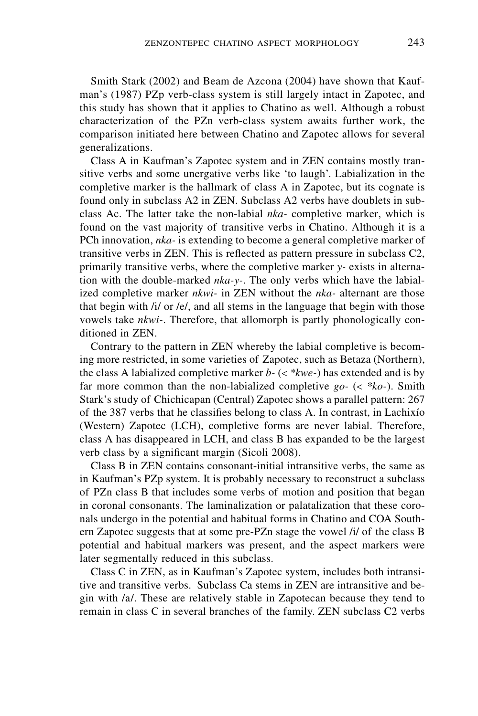Smith Stark (2002) and Beam de Azcona (2004) have shown that Kaufman's (1987) PZp verb-class system is still largely intact in Zapotec, and this study has shown that it applies to Chatino as well. Although a robust characterization of the PZn verb-class system awaits further work, the comparison initiated here between Chatino and Zapotec allows for several generalizations.

Class A in Kaufman's Zapotec system and in ZEN contains mostly transitive verbs and some unergative verbs like 'to laugh'. Labialization in the completive marker is the hallmark of class A in Zapotec, but its cognate is found only in subclass A2 in ZEN. Subclass A2 verbs have doublets in subclass Ac. The latter take the non-labial *nka-* completive marker, which is found on the vast majority of transitive verbs in Chatino. Although it is a PCh innovation, *nka-* is extending to become a general completive marker of transitive verbs in ZEN. This is reflected as pattern pressure in subclass C2, primarily transitive verbs, where the completive marker *y-* exists in alternation with the double-marked *nka-y-*. The only verbs which have the labialized completive marker *nkwi-* in ZEN without the *nka-* alternant are those that begin with /i/ or /e/, and all stems in the language that begin with those vowels take *nkwi-*. Therefore, that allomorph is partly phonologically conditioned in ZEN.

Contrary to the pattern in ZEN whereby the labial completive is becoming more restricted, in some varieties of Zapotec, such as Betaza (Northern), the class A labialized completive marker *b-* (< *\*kwe-*) has extended and is by far more common than the non-labialized completive *go-* (< *\*ko-*). Smith Stark's study of Chichicapan (Central) Zapotec shows a parallel pattern: 267 of the 387 verbs that he classifies belong to class A. In contrast, in Lachixío (Western) Zapotec (LCH), completive forms are never labial. Therefore, class A has disappeared in LCH, and class B has expanded to be the largest verb class by a significant margin (Sicoli 2008).

Class B in ZEN contains consonant-initial intransitive verbs, the same as in Kaufman's PZp system. It is probably necessary to reconstruct a subclass of PZn class B that includes some verbs of motion and position that began in coronal consonants. The laminalization or palatalization that these coronals undergo in the potential and habitual forms in Chatino and COA Southern Zapotec suggests that at some pre-PZn stage the vowel /i/ of the class B potential and habitual markers was present, and the aspect markers were later segmentally reduced in this subclass.

Class C in ZEN, as in Kaufman's Zapotec system, includes both intransitive and transitive verbs. Subclass Ca stems in ZEN are intransitive and begin with /a/. These are relatively stable in Zapotecan because they tend to remain in class C in several branches of the family. ZEN subclass C2 verbs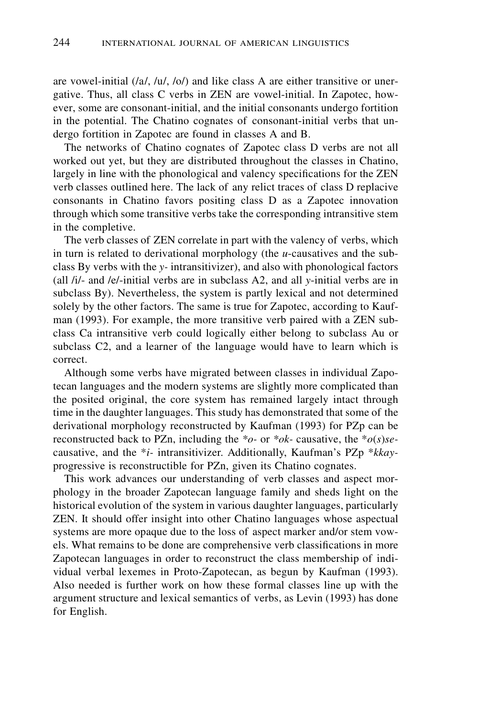are vowel-initial (/a/, /u/, /o/) and like class A are either transitive or unergative. Thus, all class C verbs in ZEN are vowel-initial. In Zapotec, however, some are consonant-initial, and the initial consonants undergo fortition in the potential. The Chatino cognates of consonant-initial verbs that undergo fortition in Zapotec are found in classes A and B.

The networks of Chatino cognates of Zapotec class D verbs are not all worked out yet, but they are distributed throughout the classes in Chatino, largely in line with the phonological and valency specifications for the ZEN verb classes outlined here. The lack of any relict traces of class D replacive consonants in Chatino favors positing class D as a Zapotec innovation through which some transitive verbs take the corresponding intransitive stem in the completive.

The verb classes of ZEN correlate in part with the valency of verbs, which in turn is related to derivational morphology (the *u*-causatives and the subclass By verbs with the *y-* intransitivizer), and also with phonological factors (all /i/- and /e/-initial verbs are in subclass A2, and all *y*-initial verbs are in subclass By). Nevertheless, the system is partly lexical and not determined solely by the other factors. The same is true for Zapotec, according to Kaufman (1993). For example, the more transitive verb paired with a ZEN subclass Ca intransitive verb could logically either belong to subclass Au or subclass C2, and a learner of the language would have to learn which is correct.

Although some verbs have migrated between classes in individual Zapotecan languages and the modern systems are slightly more complicated than the posited original, the core system has remained largely intact through time in the daughter languages. This study has demonstrated that some of the derivational morphology reconstructed by Kaufman (1993) for PZp can be reconstructed back to PZn, including the *\*o-* or *\*ok-* causative, the \**o*(*s*)*se*causative, and the \**i-* intransitivizer. Additionally, Kaufman's PZp \**kkay*progressive is reconstructible for PZn, given its Chatino cognates.

This work advances our understanding of verb classes and aspect morphology in the broader Zapotecan language family and sheds light on the historical evolution of the system in various daughter languages, particularly ZEN. It should offer insight into other Chatino languages whose aspectual systems are more opaque due to the loss of aspect marker and/or stem vowels. What remains to be done are comprehensive verb classifications in more Zapotecan languages in order to reconstruct the class membership of individual verbal lexemes in Proto-Zapotecan, as begun by Kaufman (1993). Also needed is further work on how these formal classes line up with the argument structure and lexical semantics of verbs, as Levin (1993) has done for English.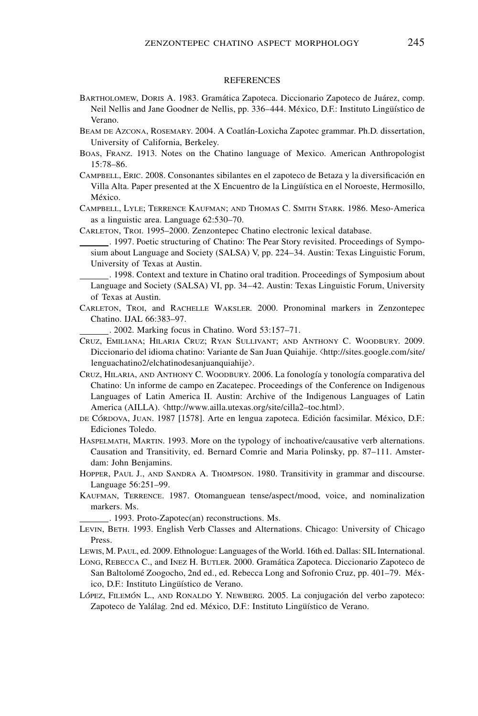## **REFERENCES**

- Bartholomew, Doris A. 1983. Gramática Zapoteca. Diccionario Zapoteco de Juárez, comp. Neil Nellis and Jane Goodner de Nellis, pp. 336–444. México, D.F.: Instituto Lingüístico de Verano.
- Beam de Azcona, Rosemary. 2004. A Coatlán-Loxicha Zapotec grammar. Ph.D. dissertation, University of California, Berkeley.
- Boas, Franz. 1913. Notes on the Chatino language of Mexico. American Anthropologist 15:78–86.
- Campbell, Eric. 2008. Consonantes sibilantes en el zapoteco de Betaza y la diversificación en Villa Alta. Paper presented at the X Encuentro de la Lingüística en el Noroeste, Hermosillo, México.
- Campbell, Lyle; Terrence Kaufman; and Thomas C. Smith Stark. 1986. Meso-America as a linguistic area. Language 62:530–70.
- Carleton, Troi. 1995–2000. Zenzontepec Chatino electronic lexical database.

. 1997. Poetic structuring of Chatino: The Pear Story revisited. Proceedings of Symposium about Language and Society (SALSA) V, pp. 224–34. Austin: Texas Linguistic Forum, University of Texas at Austin.

. 1998. Context and texture in Chatino oral tradition. Proceedings of Symposium about Language and Society (SALSA) VI, pp. 34–42. Austin: Texas Linguistic Forum, University of Texas at Austin.

Carleton, Troi, and Rachelle Waksler. 2000. Pronominal markers in Zenzontepec Chatino. IJAL 66:383–97.

. 2002. Marking focus in Chatino. Word 53:157–71.

- Cruz, Emiliana; Hilaria Cruz; Ryan Sullivant; and Anthony C. Woodbury. 2009. Diccionario del idioma chatino: Variante de San Juan Quiahije. <http://sites.google.com/site/ lenguachatino2/elchatinodesanjuanquiahije>.
- Cruz, Hilaria, and Anthony C. Woodbury. 2006. La fonología y tonología comparativa del Chatino: Un informe de campo en Zacatepec. Proceedings of the Conference on Indigenous Languages of Latin America II. Austin: Archive of the Indigenous Languages of Latin America (AILLA). <http://www.ailla.utexas.org/site/cilla2–toc.html>.
- de Córdova, Juan. 1987 [1578]. Arte en lengua zapoteca. Edición facsimilar. México, D.F.: Ediciones Toledo.
- Haspelmath, Martin. 1993. More on the typology of inchoative/causative verb alternations. Causation and Transitivity, ed. Bernard Comrie and Maria Polinsky, pp. 87–111. Amsterdam: John Benjamins.
- Hopper, Paul J., and Sandra A. Thompson. 1980. Transitivity in grammar and discourse. Language 56:251–99.
- Kaufman, Terrence. 1987. Otomanguean tense/aspect/mood, voice, and nominalization markers. Ms.

. 1993. Proto-Zapotec(an) reconstructions. Ms.

- Levin, Beth. 1993. English Verb Classes and Alternations. Chicago: University of Chicago Press.
- Lewis, M. Paul, ed. 2009. Ethnologue: Languages of the World. 16th ed. Dallas: SIL International.
- LONG, REBECCA C., and INEZ H. BUTLER. 2000. Gramática Zapoteca. Diccionario Zapoteco de San Baltolomé Zoogocho, 2nd ed., ed. Rebecca Long and Sofronio Cruz, pp. 401–79. México, D.F.: Instituto Lingüístico de Verano.
- López, Filemón L., and Ronaldo Y. Newberg. 2005. La conjugación del verbo zapoteco: Zapoteco de Yalálag. 2nd ed. México, D.F.: Instituto Lingüístico de Verano.